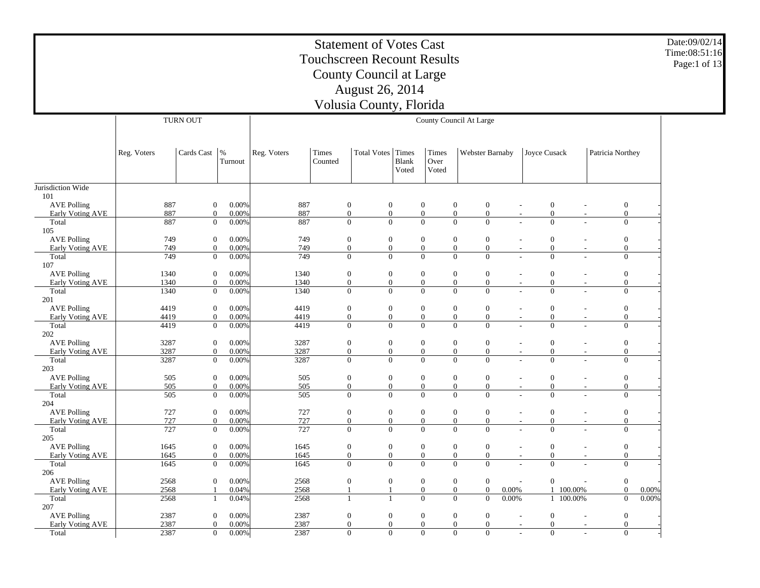#### Statement of Votes Cast Touchscreen Recount Results County Council at Large August 26, 2014 Volusia County, Florida Date:09/02/14 Time:08:51:16 Page:1 of 13 TURN OUT County Council At Large

|                    | Reg. Voters | Cards Cast       | $\frac{9}{6}$<br>Turnout | Reg. Voters | Times<br>Counted | Total Votes Times | Blank<br>Voted | Times<br>Over<br>Voted | Webster Barnaby                      |       | Joyce Cusack                                 |                          | Patricia Northey |       |
|--------------------|-------------|------------------|--------------------------|-------------|------------------|-------------------|----------------|------------------------|--------------------------------------|-------|----------------------------------------------|--------------------------|------------------|-------|
| Jurisdiction Wide  |             |                  |                          |             |                  |                   |                |                        |                                      |       |                                              |                          |                  |       |
| 101                |             |                  |                          |             |                  |                   |                |                        |                                      |       |                                              |                          |                  |       |
| <b>AVE Polling</b> | 887         | $\boldsymbol{0}$ | 0.00%                    | 887         | $\boldsymbol{0}$ | $\boldsymbol{0}$  |                | $\boldsymbol{0}$       | $\boldsymbol{0}$<br>$\boldsymbol{0}$ |       | $\boldsymbol{0}$<br>$\overline{\phantom{a}}$ | $\overline{\phantom{a}}$ | $\boldsymbol{0}$ |       |
| Early Voting AVE   | 887         | $\overline{0}$   | 0.00%                    | 887         | $\mathbf{0}$     | $\boldsymbol{0}$  |                | $\mathbf{0}$           | $\overline{0}$<br>$\mathbf{0}$       |       | $\boldsymbol{0}$<br>$\overline{\phantom{a}}$ | $\sim$                   | $\boldsymbol{0}$ |       |
| Total              | 887         | $\boldsymbol{0}$ | 0.00%                    | 887         | $\mathbf{0}$     | $\boldsymbol{0}$  |                | $\mathbf{0}$           | $\boldsymbol{0}$<br>$\boldsymbol{0}$ |       | $\overline{0}$                               | L.                       | $\boldsymbol{0}$ |       |
| 105                |             |                  |                          |             |                  |                   |                |                        |                                      |       |                                              |                          |                  |       |
| <b>AVE Polling</b> | 749         | $\mathbf{0}$     | 0.00%                    | 749         | $\boldsymbol{0}$ | $\boldsymbol{0}$  |                | $\boldsymbol{0}$       | $\boldsymbol{0}$<br>$\boldsymbol{0}$ |       | $\boldsymbol{0}$                             | ÷                        | $\boldsymbol{0}$ |       |
| Early Voting AVE   | 749         | $\overline{0}$   | 0.00%                    | 749         | $\mathbf{0}$     | $\boldsymbol{0}$  |                | $\mathbf{0}$           | $\overline{0}$<br>$\boldsymbol{0}$   |       | $\mathbf{0}$                                 | $\overline{\phantom{m}}$ | $\mathbf{0}$     |       |
| Total<br>107       | 749         | $\Omega$         | 0.00%                    | 749         | $\mathbf{0}$     | $\Omega$          |                | $\overline{0}$         | $\theta$<br>$\Omega$                 |       | $\Omega$                                     | ÷                        | $\mathbf{0}$     |       |
| <b>AVE Polling</b> | 1340        | $\overline{0}$   | 0.00%                    | 1340        | $\boldsymbol{0}$ | $\boldsymbol{0}$  |                | $\boldsymbol{0}$       | $\boldsymbol{0}$<br>$\boldsymbol{0}$ |       | $\mathbf{0}$                                 |                          | $\mathbf{0}$     |       |
| Early Voting AVE   | 1340        | $\overline{0}$   | 0.00%                    | 1340        | $\mathbf{0}$     | $\mathbf{0}$      |                | $\boldsymbol{0}$       | $\boldsymbol{0}$<br>$\mathbf{0}$     |       | $\boldsymbol{0}$<br>$\sim$                   | $\sim$                   | $\boldsymbol{0}$ |       |
| Total<br>201       | 1340        | $\mathbf{0}$     | 0.00%                    | 1340        | $\mathbf{0}$     | $\overline{0}$    |                | $\mathbf{0}$           | $\overline{0}$<br>$\overline{0}$     |       | $\overline{0}$                               |                          | $\mathbf{0}$     |       |
| <b>AVE Polling</b> | 4419        | $\mathbf{0}$     | 0.00%                    | 4419        | $\boldsymbol{0}$ | $\boldsymbol{0}$  |                | $\boldsymbol{0}$       | $\boldsymbol{0}$<br>$\mathbf{0}$     |       | $\boldsymbol{0}$                             | ÷,                       | $\boldsymbol{0}$ |       |
| Early Voting AVE   | 4419        | $\overline{0}$   | 0.00%                    | 4419        | $\mathbf{0}$     | $\boldsymbol{0}$  |                | $\mathbf{0}$           | $\overline{0}$<br>$\boldsymbol{0}$   |       | $\boldsymbol{0}$<br>$\overline{\phantom{a}}$ | $\overline{\phantom{a}}$ | $\boldsymbol{0}$ |       |
| Total<br>202       | 4419        | $\overline{0}$   | 0.00%                    | 4419        | $\mathbf{0}$     | $\overline{0}$    |                | $\overline{0}$         | $\overline{0}$<br>$\overline{0}$     |       | $\Omega$                                     |                          | $\overline{0}$   |       |
| <b>AVE Polling</b> | 3287        | $\overline{0}$   | 0.00%                    | 3287        | $\boldsymbol{0}$ | $\boldsymbol{0}$  |                | $\boldsymbol{0}$       | $\boldsymbol{0}$<br>$\boldsymbol{0}$ |       | $\boldsymbol{0}$                             | $\overline{\phantom{a}}$ | $\boldsymbol{0}$ |       |
| Early Voting AVE   | 3287        | $\mathbf{0}$     | 0.00%                    | 3287        | $\mathbf{0}$     | $\boldsymbol{0}$  |                | $\boldsymbol{0}$       | $\boldsymbol{0}$<br>$\boldsymbol{0}$ |       | $\boldsymbol{0}$<br>$\overline{\phantom{a}}$ | $\overline{\phantom{a}}$ | $\mathbf{0}$     |       |
| Total<br>203       | 3287        | $\mathbf{0}$     | 0.00%                    | 3287        | $\mathbf{0}$     | $\overline{0}$    |                | $\mathbf{0}$           | $\overline{0}$<br>$\mathbf{0}$       |       | $\overline{0}$                               |                          | $\boldsymbol{0}$ |       |
| <b>AVE Polling</b> | 505         | $\mathbf{0}$     | 0.00%                    | 505         | $\boldsymbol{0}$ | $\boldsymbol{0}$  |                | $\boldsymbol{0}$       | $\boldsymbol{0}$<br>$\boldsymbol{0}$ |       | $\boldsymbol{0}$                             | $\overline{\phantom{a}}$ | $\boldsymbol{0}$ |       |
| Early Voting AVE   | 505         | $\overline{0}$   | 0.00%                    | 505         | $\mathbf{0}$     | $\mathbf{0}$      |                | $\mathbf{0}$           | $\overline{0}$<br>$\mathbf{0}$       |       | $\mathbf{0}$<br>$\overline{\phantom{a}}$     | $\sim$                   | $\overline{0}$   |       |
| Total<br>204       | 505         | $\mathbf{0}$     | 0.00%                    | 505         | $\mathbf{0}$     | $\overline{0}$    |                | $\overline{0}$         | $\overline{0}$<br>$\overline{0}$     |       | $\overline{0}$                               | $\overline{a}$           | $\mathbf{0}$     |       |
| <b>AVE Polling</b> | 727         | $\overline{0}$   | 0.00%                    | 727         | $\mathbf{0}$     | $\boldsymbol{0}$  |                | $\boldsymbol{0}$       | $\boldsymbol{0}$<br>$\boldsymbol{0}$ |       | $\boldsymbol{0}$                             | $\overline{a}$           | $\boldsymbol{0}$ |       |
| Early Voting AVE   | 727         | $\overline{0}$   | 0.00%                    | 727         | $\boldsymbol{0}$ | $\boldsymbol{0}$  |                | $\boldsymbol{0}$       | $\boldsymbol{0}$<br>$\boldsymbol{0}$ |       | $\boldsymbol{0}$<br>$\overline{\phantom{a}}$ | $\overline{\phantom{a}}$ | $\boldsymbol{0}$ |       |
| Total              | 727         | $\boldsymbol{0}$ | 0.00%                    | 727         | $\mathbf{0}$     | $\overline{0}$    |                | $\overline{0}$         | $\overline{0}$<br>$\overline{0}$     |       | $\overline{0}$                               |                          | $\overline{0}$   |       |
| 205                |             |                  |                          |             |                  |                   |                |                        |                                      |       |                                              |                          |                  |       |
| <b>AVE Polling</b> | 1645        | $\boldsymbol{0}$ | 0.00%                    | 1645        | $\boldsymbol{0}$ | $\boldsymbol{0}$  |                | $\boldsymbol{0}$       | $\boldsymbol{0}$<br>$\boldsymbol{0}$ |       | $\boldsymbol{0}$                             |                          | $\boldsymbol{0}$ |       |
| Early Voting AVE   | 1645        | $\boldsymbol{0}$ | 0.00%                    | 1645        | $\mathbf{0}$     | $\boldsymbol{0}$  |                | $\mathbf{0}$           | $\boldsymbol{0}$<br>$\boldsymbol{0}$ |       | $\boldsymbol{0}$<br>$\sim$                   | $\overline{\phantom{a}}$ | $\boldsymbol{0}$ |       |
| Total              | 1645        | $\mathbf{0}$     | 0.00%                    | 1645        | $\mathbf{0}$     | $\theta$          |                | $\mathbf{0}$           | $\overline{0}$<br>$\Omega$           |       | $\overline{0}$                               |                          | $\mathbf{0}$     |       |
| 206                |             |                  |                          |             |                  |                   |                |                        |                                      |       |                                              |                          |                  |       |
| <b>AVE Polling</b> | 2568        | $\overline{0}$   | 0.00%                    | 2568        | $\boldsymbol{0}$ | $\boldsymbol{0}$  |                | $\boldsymbol{0}$       | $\boldsymbol{0}$<br>$\overline{0}$   |       | $\mathbf{0}$                                 |                          | $\boldsymbol{0}$ |       |
| Early Voting AVE   | 2568        | $\overline{1}$   | 0.04%                    | 2568        | $\mathbf{1}$     | $\mathbf{1}$      |                | $\mathbf{0}$           | $\boldsymbol{0}$<br>$\mathbf{0}$     | 0.00% | $\mathbf{1}$                                 | 100.00%                  | $\mathbf{0}$     | 0.00% |
| Total<br>207       | 2568        | -1               | 0.04%                    | 2568        | 1                | $\mathbf{1}$      |                | $\mathbf{0}$           | $\overline{0}$<br>$\boldsymbol{0}$   | 0.00% |                                              | 1 100.00%                | $\boldsymbol{0}$ | 0.00% |
| <b>AVE Polling</b> | 2387        | $\mathbf{0}$     | 0.00%                    | 2387        | $\boldsymbol{0}$ | $\boldsymbol{0}$  |                | $\boldsymbol{0}$       | $\boldsymbol{0}$<br>$\boldsymbol{0}$ |       | $\boldsymbol{0}$<br>$\overline{\phantom{a}}$ | ٠                        | $\boldsymbol{0}$ |       |
| Early Voting AVE   | 2387        | $\overline{0}$   | 0.00%                    | 2387        | $\boldsymbol{0}$ | $\boldsymbol{0}$  |                | $\mathbf{0}$           | $\boldsymbol{0}$<br>$\boldsymbol{0}$ |       | $\boldsymbol{0}$<br>$\overline{\phantom{a}}$ |                          | $\mathbf{0}$     |       |
| Total              | 2387        | $\boldsymbol{0}$ | 0.00%                    | 2387        | $\mathbf{0}$     | $\overline{0}$    |                | $\mathbf{0}$           | $\boldsymbol{0}$<br>$\mathbf{0}$     |       | $\mathbf{0}$                                 |                          | $\overline{0}$   |       |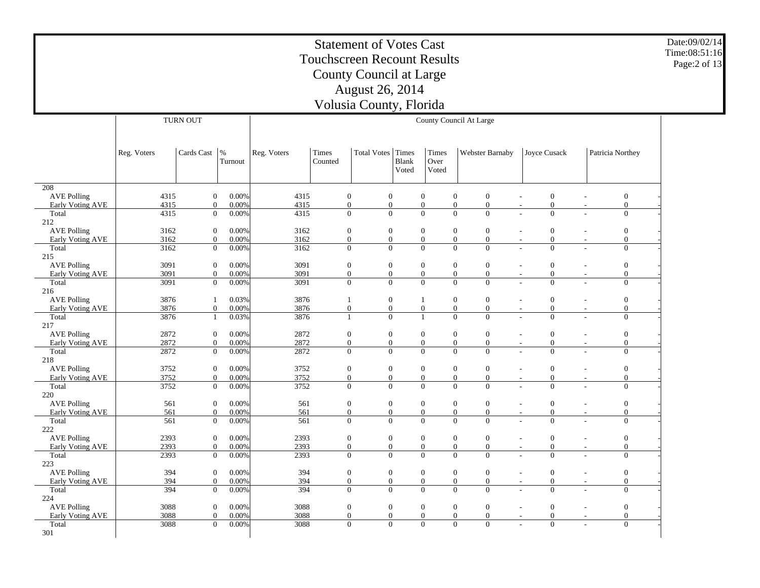Date:09/02/14Time:08:51:16Page:2 of 13

 208 AVE Polling Early Voting AVE Total 212 AVE Polling Early Voting AVE Total 215 AVE Polling Early Voting AVE Total 216 AVE Polling Early Voting AVE Total 217 AVE Polling Early Voting AVE Total 218 AVE Polling Early Voting AVE Total 220 AVE Polling Early Voting AVE Total 222 AVE Polling Early Voting AVE Total 223 AVE Polling Early Voting AVE Total 224 AVE Polling Early Voting AVE Total 301Reg. Voters | Cards Cast | % Turnout TURN OUTReg. Voters | Times CountedTotal Votes | Times Blank VotedTimes Over VotedWebster Barnaby | Joyce Cusack | Patricia Northey County Council At Large 4315 0 0.00% $\%$  4315 0 0 0 0 0 - 0 - 0 -4315 0 0.00% $\%$  4315 0 0 0 0 0 - 0 - 0 -4315 $0$  0.00%  $\%$  4315 0 0 0 0 0 - 0 - 0 -3162 0 0.00% $\%$  3162 0 0 0 0 0 - 0 - 0 -3162 0 0.00% $\%$  3162 0 0 0 0 0 - 0 - 0 -3162 $0$  0.00%  $\%$  3162 0 0 0 0 0 - 0 - 0 -3091 0 0.00% $\%$  3091 0 0 0 0 0 - 0 - 0 -3091 0 0.00% $\%$  3091 0 0 0 0 0 - 0 - 0 -3091 $0 - 0.00\%$  $\%$  3091 0 0 0 0 0 - 0 - 0 -3876 1 0.03%% 3876 1 0 1 0 0 - 0 - 0 -3876 0 0.00% $\%$  3876 0 0 0 0 0 - 0 - 0 -3876 1 0.03%% 3876 1 0 1 0 0 - 0 - 0 -2872 0 0.00% $\%$  2872 0 0 0 0 0 - 0 - 0 -2872 0 0.00% $\%$  2872 0 0 0 0 0 - 0 - 0 -2872 $0 - 0.00\%$  $\%$  2872 0 0 0 0 0 - 0 - 0 -3752 0 0.00% $\%$  3752 0 0 0 0 0 - 0 - 0 -3752 0 0.00% $\%$  3752 0 0 0 0 0 - 0 - 0 -3752 $0 - 0.00\%$  $\%$  3752 0 0 0 0 0 - 0 - 0 -561 0 0.00% $\%$  561 0 0 0 0 0 - 0 - 0 -561 0 0.00% $\%$  561 0 0 0 0 0 - 0 - 0 -561 $0$  0.00%  $\%$  561 0 0 0 0 0 - 0 - 0 -2393 0 0.00% $\%$  2393 0 0 0 0 0 0 - 0 - 0 -2393 0 0.00% $\%$  2393 0 0 0 0 0 0 - 0 - 0 -2393 $0 - 0.00\%$  $\%$  2393 0 0 0 0 0 0 - 0 - 0 -394 0 0.00%% 394 0 0 0 0 0 - 0 - 0 -394 0 0.00%% 394 0 0 0 0 0 - 0 - 0 -394 $0 - 0.00\%$ % 394 0 0 0 0 0 - 0 - 0 -3088 0 0.00% $\%$  3088 0 0 0 0 0 - 0 - 0 -3088 0 0.00% $\%$  3088 0 0 0 0 0 - 0 - 0 -3088 $0$  0.00%  $\%$  3088 0 0 0 0 0 - 0 - 0 -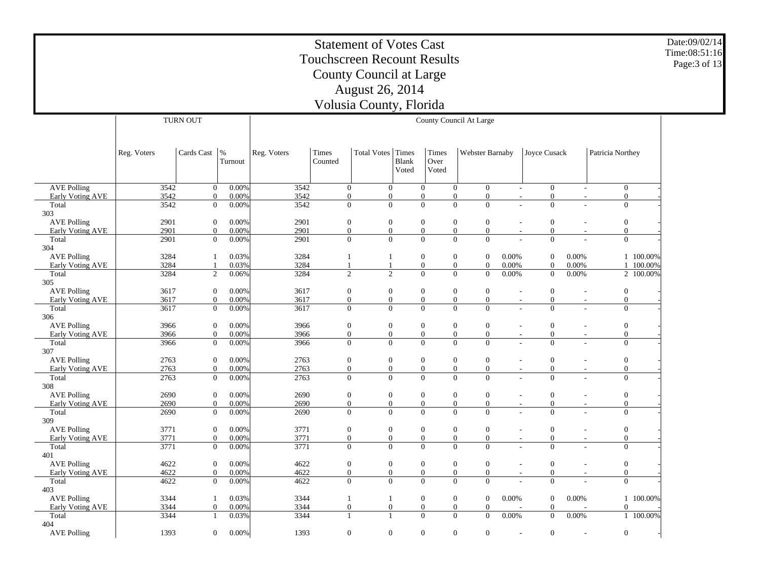Date:09/02/14Time:08:51:16Page:3 of 13

 AVE Polling Early Voting AVE Total 303 AVE Polling Early Voting AVE Total 304 AVE Polling Early Voting AVE Total 305 AVE Polling Early Voting AVE Total 306 AVE Polling Early Voting AVE Total 307 AVE Polling Early Voting AVE Total 308 AVE Polling Early Voting AVE Total 309 AVE Polling Early Voting AVE Total 401 AVE Polling Early Voting AVE Total 403 AVE Polling Early Voting AVE Total 404 AVE Polling Reg. Voters | Cards Cast | % Turnout TURN OUTReg. Voters | Times CountedTotal Votes | Times Blank VotedTimes Over VotedWebster Barnaby | Joyce Cusack | Patricia Northey County Council At Large  $3542$  $0 - 0.00%$  $\%$  3542 0 0 0 0 0 - 0 - 0 -3542 0 0.00% $\%$  3542 0 0 0 0 0 - 0 - 0 -3542 $0 - 0.00\%$  $\%$  3542 0 0 0 0 0 - 0 - 0 -2901 0 0.00% $\%$  2901 0 0 0 0 0 - 0 - 0 -2901 0 0.00% $\%$  2901 0 0 0 0 0 - 0 - 0 -2901 $0 - 0.00\%$  $\%$  2901 0 0 0 0 0 - 0 - 0 -3284 1 0.03% $\%$  3284 1 1 0 0 0 0.00% 0 0.00% 1 100.00% 3284 1 0.03% $\%$  3284 1 1 0 0 0 0.00% 0 0.00% 1 100.00% 3284 $2 \t 0.06\%$  $\%$  3284 2 2 0 0 0.00% 0.00% 2.100.00% 3617 0 0.00% $\%$  3617 0 0 0 0 0 - 0 - 0 -3617 0 0.00% $\%$  3617 0 0 0 0 0 - 0 - 0 -3617 $0 - 0.00\%$  $\%$  3617 0 0 0 0 0 - 0 - 0 -3966 0 0.00% $\%$  3966 0 0 0 0 0 - 0 - 0 -3966 0 0.00% $\%$  3966 0 0 0 0 0 - 0 - 0 -3966 $0$  0.00%  $\%$  3966 0 0 0 0 0 - 0 - 0 -2763 0 0.00% $\%$  2763 0 0 0 0 0 - 0 - 0 -2763 0 0.00% $\%$  2763 0 0 0 0 0 - 0 - 0 -2763 $0 - 0.00%$  $\%$  2763 0 0 0 0 0 - 0 - 0 -2690 0 0.00% $\%$  2690 0 0 0 0 0 - 0 - 0 -2690 0 0.00% $\%$  2690 0 0 0 0 0 - 0 - 0 -2690 $0 - 0.00\%$  $\%$  2690 0 0 0 0 0 - 0 - 0 -3771 0 0.00% $\%$  3771 0 0 0 0 0 - 0 - 0 -3771 0 0.00% $\%$  3771 0 0 0 0 0 - 0 - 0 -3771 $0$  0.00%  $\%$  3771 0 0 0 0 0 - 0 - 0 -4622 0 0.00% $\%$  4622 0 0 0 0 0 - 0 - 0 -4622 0 0.00% $\%$  4622 0 0 0 0 0 - 0 - 0 -4622 0 0.00% $\%$  4622 0 0 0 0 0 - 0 - 0 -3344 1 0.03% $\%$  3344 1 1 0 0 0 0.00% 0 0.00% 1 100.00% 3344 0 0.00% $\%$  3344 0 0 0 0 0 0 - 0 - 0 -3344 1 0.03% $\%$  3344 1 1 0 0 0 0.00% 0 0.00% 1 100.00% 1393 0 0.00%1393 0 0 0 0 0 - 0 - 0 -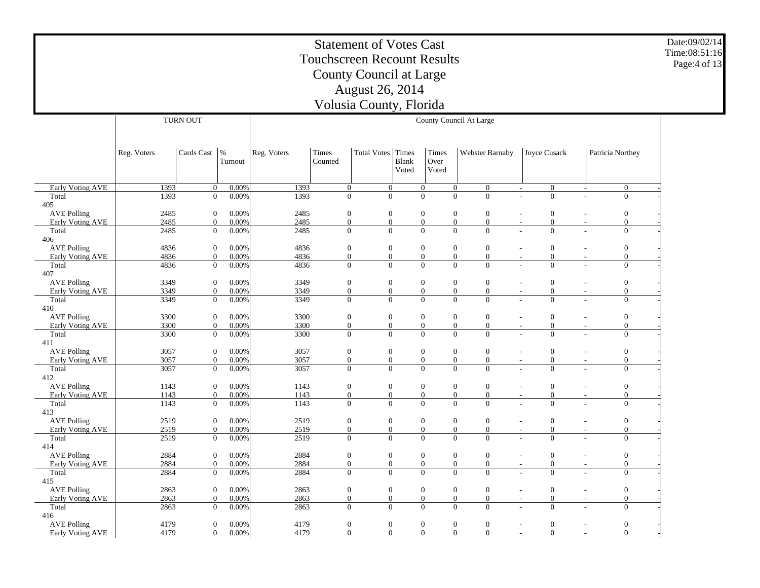Date:09/02/14 Time:08:51:16 Page:4 of 13

|                                        |              | <b>TURN OUT</b>                    |                   |              |                                      |                                    |                |                                  | County Council At Large                                                  |                                              |                                                            |
|----------------------------------------|--------------|------------------------------------|-------------------|--------------|--------------------------------------|------------------------------------|----------------|----------------------------------|--------------------------------------------------------------------------|----------------------------------------------|------------------------------------------------------------|
|                                        |              |                                    |                   |              |                                      |                                    |                |                                  |                                                                          |                                              |                                                            |
|                                        |              |                                    |                   |              |                                      |                                    |                |                                  |                                                                          |                                              |                                                            |
|                                        | Reg. Voters  | Cards Cast                         | $\%$<br>Turnout   | Reg. Voters  | Times<br>Counted                     | <b>Total Votes</b>                 | Times<br>Blank | Times<br>Over                    | Webster Barnaby                                                          | Joyce Cusack                                 | Patricia Northey                                           |
|                                        |              |                                    |                   |              |                                      |                                    | Voted          | Voted                            |                                                                          |                                              |                                                            |
|                                        |              |                                    |                   |              |                                      |                                    |                |                                  |                                                                          |                                              |                                                            |
| <b>Early Voting AVE</b><br>Total       | 1393<br>1393 | $\mathbf{0}$<br>$\overline{0}$     | 0.00%<br>0.00%    | 1393<br>1393 | $\mathbf{0}$<br>$\overline{0}$       | $\mathbf{0}$<br>$\overline{0}$     |                | $\mathbf{0}$<br>$\mathbf{0}$     | $\boldsymbol{0}$<br>$\boldsymbol{0}$<br>$\overline{0}$<br>$\overline{0}$ | $\mathbf{0}$<br>$\sim$<br>$\overline{0}$     | $\mathbf{0}$<br>$\overline{\phantom{a}}$<br>$\overline{0}$ |
| 405                                    |              |                                    |                   |              |                                      |                                    |                |                                  |                                                                          |                                              |                                                            |
| <b>AVE Polling</b>                     | 2485         | $\boldsymbol{0}$                   | 0.00%             | 2485         | $\mathbf{0}$                         | $\boldsymbol{0}$                   |                | $\boldsymbol{0}$                 | $\boldsymbol{0}$<br>$\boldsymbol{0}$                                     | $\boldsymbol{0}$                             | $\boldsymbol{0}$<br>$\overline{\phantom{a}}$               |
| Early Voting AVE                       | 2485         | $\boldsymbol{0}$                   | 0.00%             | 2485         | $\boldsymbol{0}$                     | $\boldsymbol{0}$                   |                | $\boldsymbol{0}$                 | $\boldsymbol{0}$<br>$\boldsymbol{0}$                                     | $\overline{0}$                               | $\mathbf{0}$                                               |
| Total                                  | 2485         | $\overline{0}$                     | 0.00%             | 2485         | $\overline{0}$                       | $\Omega$                           |                | $\overline{0}$                   | $\overline{0}$<br>$\overline{0}$                                         | $\overline{0}$                               | $\overline{0}$                                             |
| 406                                    |              |                                    |                   |              |                                      |                                    |                |                                  |                                                                          |                                              |                                                            |
| <b>AVE Polling</b>                     | 4836         | $\boldsymbol{0}$                   | 0.00%             | 4836         | $\boldsymbol{0}$                     | $\boldsymbol{0}$                   |                | $\boldsymbol{0}$                 | $\boldsymbol{0}$<br>$\mathbf{0}$                                         | $\boldsymbol{0}$                             | $\boldsymbol{0}$                                           |
| <b>Early Voting AVE</b>                | 4836         | $\mathbf{0}$                       | 0.00%             | 4836         | $\mathbf{0}$                         | $\boldsymbol{0}$                   |                | $\boldsymbol{0}$                 | $\boldsymbol{0}$<br>$\boldsymbol{0}$                                     | $\boldsymbol{0}$                             | $\mathbf{0}$                                               |
| Total                                  | 4836         | $\mathbf{0}$                       | 0.00%             | 4836         | $\overline{0}$                       | $\overline{0}$                     |                | $\overline{0}$                   | $\overline{0}$<br>$\mathbf{0}$                                           | $\overline{0}$                               | $\overline{0}$                                             |
| 407                                    |              |                                    |                   |              |                                      |                                    |                |                                  |                                                                          |                                              |                                                            |
| <b>AVE Polling</b>                     | 3349         | $\boldsymbol{0}$                   | 0.00%             | 3349         | $\boldsymbol{0}$                     | $\boldsymbol{0}$                   |                | $\boldsymbol{0}$                 | $\boldsymbol{0}$<br>$\mathbf{0}$                                         | $\boldsymbol{0}$                             | $\boldsymbol{0}$                                           |
| Early Voting AVE                       | 3349         | $\boldsymbol{0}$                   | 0.00%             | 3349         | $\boldsymbol{0}$                     | $\boldsymbol{0}$                   |                | $\boldsymbol{0}$                 | $\overline{0}$<br>$\boldsymbol{0}$                                       | $\boldsymbol{0}$<br>$\overline{\phantom{a}}$ | $\overline{0}$                                             |
| Total                                  | 3349         | $\mathbf{0}$                       | 0.00%             | 3349         | $\overline{0}$                       | $\overline{0}$                     |                | $\overline{0}$                   | $\overline{0}$<br>$\overline{0}$                                         | $\overline{0}$                               | $\mathbf{0}$<br>$\overline{a}$                             |
| 410                                    |              |                                    |                   |              |                                      |                                    |                |                                  |                                                                          |                                              |                                                            |
| <b>AVE Polling</b><br>Early Voting AVE | 3300<br>3300 | $\boldsymbol{0}$<br>$\overline{0}$ | $0.00\%$<br>0.00% | 3300<br>3300 | $\boldsymbol{0}$<br>$\boldsymbol{0}$ | $\boldsymbol{0}$<br>$\overline{0}$ |                | $\boldsymbol{0}$<br>$\mathbf{0}$ | $\boldsymbol{0}$<br>$\boldsymbol{0}$<br>$\overline{0}$                   | $\boldsymbol{0}$<br>$\boldsymbol{0}$         | $\boldsymbol{0}$<br>$\overline{0}$                         |
| Total                                  | 3300         | $\mathbf{0}$                       | 0.00%             | 3300         | $\overline{0}$                       | $\overline{0}$                     |                | $\overline{0}$                   | $\mathbf{0}$<br>$\overline{0}$<br>$\overline{0}$                         | $\sim$<br>$\theta$                           | $\overline{\phantom{a}}$<br>$\mathbf{0}$                   |
| 411                                    |              |                                    |                   |              |                                      |                                    |                |                                  |                                                                          |                                              |                                                            |
| <b>AVE Polling</b>                     | 3057         | $\boldsymbol{0}$                   | 0.00%             | 3057         | $\boldsymbol{0}$                     | $\boldsymbol{0}$                   |                | $\boldsymbol{0}$                 | $\boldsymbol{0}$<br>$\boldsymbol{0}$                                     | $\boldsymbol{0}$                             | $\boldsymbol{0}$                                           |
| Early Voting AVE                       | 3057         | $\overline{0}$                     | 0.00%             | 3057         | $\boldsymbol{0}$                     | $\boldsymbol{0}$                   |                | $\boldsymbol{0}$                 | $\boldsymbol{0}$<br>$\mathbf{0}$                                         | $\boldsymbol{0}$<br>$\overline{\phantom{a}}$ | $\overline{0}$<br>$\overline{\phantom{a}}$                 |
| Total                                  | 3057         | $\mathbf{0}$                       | 0.00%             | 3057         | $\overline{0}$                       | $\overline{0}$                     |                | $\overline{0}$                   | $\overline{0}$<br>$\overline{0}$                                         | $\overline{0}$                               | $\overline{0}$<br>÷                                        |
| 412                                    |              |                                    |                   |              |                                      |                                    |                |                                  |                                                                          |                                              |                                                            |
| <b>AVE Polling</b>                     | 1143         | $\boldsymbol{0}$                   | 0.00%             | 1143         | $\boldsymbol{0}$                     | $\boldsymbol{0}$                   |                | $\boldsymbol{0}$                 | $\boldsymbol{0}$<br>$\mathbf{0}$                                         | $\mathbf{0}$                                 | $\boldsymbol{0}$                                           |
| Early Voting AVE                       | 1143         | $\mathbf{0}$                       | 0.00%             | 1143         | $\mathbf{0}$                         | $\boldsymbol{0}$                   |                | $\boldsymbol{0}$                 | $\boldsymbol{0}$<br>$\mathbf{0}$                                         | $\boldsymbol{0}$                             | $\mathbf{0}$<br>$\overline{\phantom{a}}$                   |
| Total                                  | 1143         | $\overline{0}$                     | 0.00%             | 1143         | $\overline{0}$                       | $\theta$                           |                | $\overline{0}$                   | $\overline{0}$<br>$\Omega$                                               | $\mathbf{0}$                                 | $\overline{0}$                                             |
| 413                                    |              |                                    |                   |              |                                      |                                    |                |                                  |                                                                          |                                              |                                                            |
| <b>AVE Polling</b>                     | 2519         | $\mathbf{0}$                       | 0.00%             | 2519         | $\boldsymbol{0}$                     | $\boldsymbol{0}$                   |                | $\boldsymbol{0}$                 | $\mathbf{0}$<br>$\mathbf{0}$                                             | $\boldsymbol{0}$                             | $\boldsymbol{0}$<br>$\overline{\phantom{a}}$               |
| Early Voting AVE                       | 2519         | $\overline{0}$                     | 0.00%             | 2519         | $\boldsymbol{0}$                     | $\boldsymbol{0}$                   |                | $\boldsymbol{0}$                 | $\overline{0}$<br>$\mathbf{0}$                                           | $\boldsymbol{0}$<br>$\overline{\phantom{a}}$ | $\mathbf{0}$<br>$\overline{\phantom{a}}$                   |
| Total<br>414                           | 2519         | $\mathbf{0}$                       | 0.00%             | 2519         | $\overline{0}$                       | $\overline{0}$                     |                | $\mathbf{0}$                     | $\overline{0}$<br>$\overline{0}$                                         | $\mathbf{0}$                                 | $\mathbf{0}$<br>$\sim$                                     |
| <b>AVE Polling</b>                     | 2884         | $\boldsymbol{0}$                   | 0.00%             | 2884         | $\boldsymbol{0}$                     | $\boldsymbol{0}$                   |                | $\boldsymbol{0}$                 | $\boldsymbol{0}$<br>$\boldsymbol{0}$                                     | $\boldsymbol{0}$                             | $\boldsymbol{0}$<br>$\overline{\phantom{a}}$               |
| Early Voting AVE                       | 2884         | $\boldsymbol{0}$                   | 0.00%             | 2884         | $\mathbf{0}$                         | $\boldsymbol{0}$                   |                | $\boldsymbol{0}$                 | $\boldsymbol{0}$<br>$\mathbf{0}$                                         | $\boldsymbol{0}$<br>$\overline{\phantom{a}}$ | $\mathbf{0}$<br>$\overline{\phantom{a}}$                   |
| Total                                  | 2884         | $\mathbf{0}$                       | $0.00\%$          | 2884         | $\overline{0}$                       | $\overline{0}$                     |                | $\overline{0}$                   | $\Omega$<br>$\Omega$                                                     | $\theta$                                     | $\mathbf{0}$                                               |
| 415                                    |              |                                    |                   |              |                                      |                                    |                |                                  |                                                                          |                                              |                                                            |
| <b>AVE Polling</b>                     | 2863         | $\boldsymbol{0}$                   | 0.00%             | 2863         | $\boldsymbol{0}$                     | $\boldsymbol{0}$                   |                | $\boldsymbol{0}$                 | $\boldsymbol{0}$<br>$\boldsymbol{0}$                                     | $\boldsymbol{0}$<br>$\overline{\phantom{a}}$ | $\boldsymbol{0}$<br>$\overline{\phantom{a}}$               |
| Early Voting AVE                       | 2863         | $\mathbf{0}$                       | 0.00%             | 2863         | $\overline{0}$                       | $\overline{0}$                     |                | $\mathbf{0}$                     | $\overline{0}$<br>$\overline{0}$                                         | $\boldsymbol{0}$<br>$\sim$                   | $\overline{0}$<br>$\sim$                                   |
| Total                                  | 2863         | $\overline{0}$                     | $0.00\%$          | 2863         | $\overline{0}$                       | $\overline{0}$                     |                | $\overline{0}$                   | $\overline{0}$<br>$\overline{0}$                                         | $\overline{0}$                               | $\overline{0}$<br>$\sim$                                   |
| 416                                    |              |                                    |                   |              |                                      |                                    |                |                                  |                                                                          |                                              |                                                            |
| <b>AVE Polling</b>                     | 4179         | $\overline{0}$                     | 0.00%             | 4179         | $\boldsymbol{0}$                     | $\boldsymbol{0}$                   |                | $\boldsymbol{0}$                 | $\boldsymbol{0}$<br>$\boldsymbol{0}$                                     | $\boldsymbol{0}$                             | $\boldsymbol{0}$                                           |
| Early Voting AVE                       | 4179         | $\mathbf{0}$                       | $0.00\%$          | 4179         | $\mathbf{0}$                         | $\mathbf{0}$                       |                | $\mathbf{0}$                     | $\overline{0}$<br>$\Omega$                                               | $\mathbf{0}$                                 | $\mathbf{0}$<br>$\sim$                                     |

 $\overline{\phantom{0}}$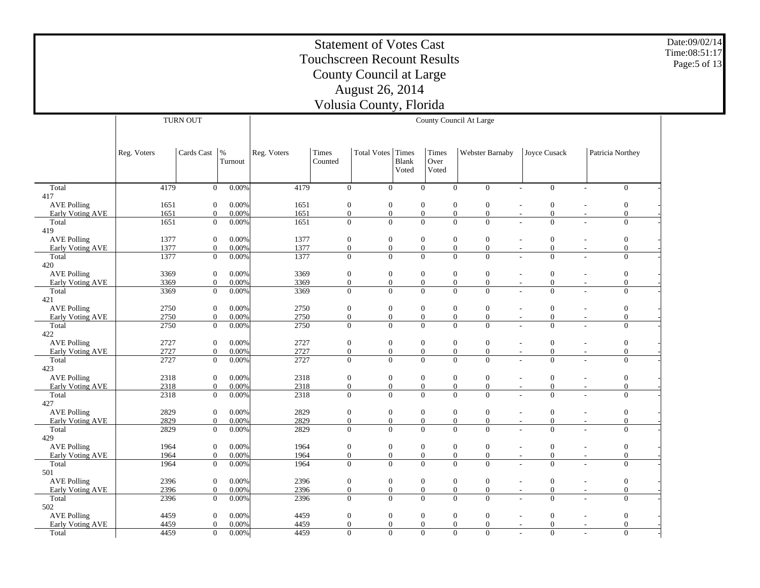Date:09/02/14Time:08:51:17Page:5 of 13

 Total 417 AVE Polling Early Voting AVE Total 419 AVE Polling Early Voting AVE Total 420 AVE Polling Early Voting AVE Total 421 AVE Polling Early Voting AVE Total 422 AVE Polling Early Voting AVE Total 423 AVE Polling Early Voting AVE Total 427 AVE Polling Early Voting AVE Total 429 AVE Polling Early Voting AVE Total 501 AVE Polling Early Voting AVE Total 502 AVE Polling Early Voting AVE TotalReg. Voters | Cards Cast | % Turnout TURN OUTReg. Voters | Times CountedTotal Votes | Times Blank VotedTimes Over VotedWebster Barnaby | Joyce Cusack | Patricia Northey County Council At Large 4179 $0 - 0.00%$  $\%$  4179 0 0 0 0 0 - 0 - 0 -1651 0 0.00% $\%$  1651 0 0 0 0 0 - 0 - 0 -1651 0 0.00% $\%$  1651 0 0 0 0 0 - 0 - 0 -1651 $0 - 0.00\%$  $\%$  1651 0 0 0 0 0 - 0 - 0 -1377 0 0.00% $\%$  1377 0 0 0 0 0 - 0 - 0 -1377 0 0.00% $\%$  1377 0 0 0 0 0 - 0 - 0 -1377 $0$  0.00%  $\%$  1377 0 0 0 0 0 - 0 - 0 -3369 0 0.00% $\%$  3369 0 0 0 0 0 - 0 - 0 -3369 0 0.00% $\%$  3369 0 0 0 0 0 - 0 - 0 -3369 $0 - 0.00\%$  $\%$  3369 0 0 0 0 0 - 0 - 0 -2750 0 0.00% $\%$  2750 0 0 0 0 0 - 0 - 0 -2750 0 0.00% $\%$  2750 0 0 0 0 0 - 0 - 0 -2750 $0$  0.00%  $\%$  2750 0 0 0 0 0 - 0 - 0 -2727 0 0.00% $\%$  2727 0 0 0 0 0 - 0 - 0 -2727 0 0.00% $\%$  2727 0 0 0 0 0 - 0 - 0 -2727 $0$  0.00%  $\%$  2727 0 0 0 0 0 - 0 - 0 -2318 0 0.00% $\%$  2318 0 0 0 0 0 - 0 - 0 -2318 0 0.00% $\%$  2318 0 0 0 0 0 - 0 - 0 -2318 $0$  0.00%  $\%$  2318 0 0 0 0 0 - 0 - 0 -2829 0 0.00% $\%$  2829 0 0 0 0 0 - 0 - 0 -2829 0 0.00% $\%$  2829 0 0 0 0 0 - 0 - 0 -2829 $0 - 0.00\%$  $\%$  2829 0 0 0 0 0 - 0 - 0 -1964 0 0.00% $\%$  1964 0 0 0 0 0 0 - 0 - 0 -1964 0 0.00% $\%$  1964 0 0 0 0 0 0 - 0 - 0 -1964 $0$  0.00%  $\%$  1964 0 0 0 0 0 0 - 0 - 0 -2396 0 0.00% $\%$  2396 0 0 0 0 0 - 0 - 0 -2396 0 0.00% $\%$  2396 0 0 0 0 0 - 0 - 0 -2396 $0 - 0.00\%$  $\%$  2396 0 0 0 0 0 - 0 - 0 -4459 0 0.00%% 4459 0 0 0 0 0 - 0 - 0 -4459 0 0.00%% 4459 0 0 0 0 0 - 0 - 0 -4459 0 0.00%% 4459 0 0 0 0 0 - 0 - 0 -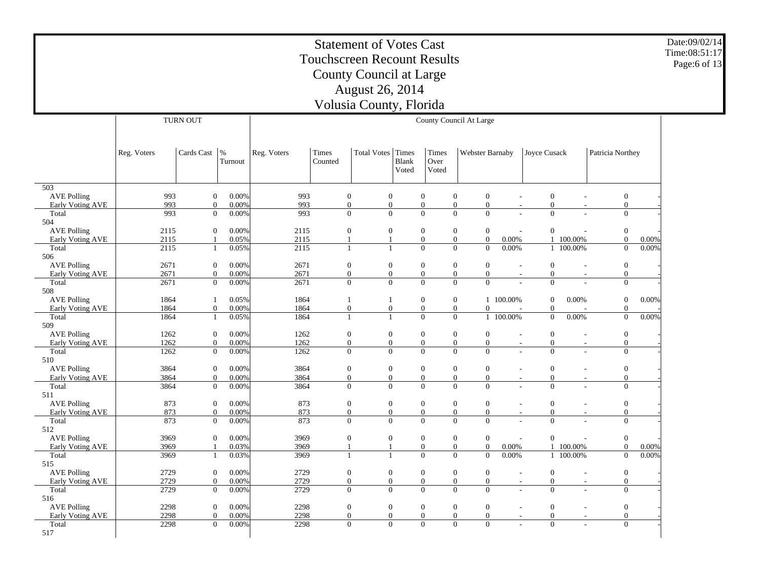Date:09/02/14 Time:08:51:17Page:6 of 13

|                                  | TURN OUT<br>County Council At Large |                                |                 |              |                              |                                  |                |                                    |                                                                      |                          |                              |                          |                                  |          |
|----------------------------------|-------------------------------------|--------------------------------|-----------------|--------------|------------------------------|----------------------------------|----------------|------------------------------------|----------------------------------------------------------------------|--------------------------|------------------------------|--------------------------|----------------------------------|----------|
|                                  |                                     |                                |                 |              |                              |                                  |                |                                    |                                                                      |                          |                              |                          |                                  |          |
|                                  |                                     |                                |                 |              |                              |                                  |                |                                    |                                                                      |                          |                              |                          |                                  |          |
|                                  | Reg. Voters                         | Cards Cast                     | $\%$<br>Turnout | Reg. Voters  | Times<br>Counted             | <b>Total Votes</b>               | Times<br>Blank | Times<br>Over                      | Webster Barnaby                                                      |                          | <b>Joyce Cusack</b>          |                          | Patricia Northey                 |          |
|                                  |                                     |                                |                 |              |                              |                                  | Voted          | Voted                              |                                                                      |                          |                              |                          |                                  |          |
|                                  |                                     |                                |                 |              |                              |                                  |                |                                    |                                                                      |                          |                              |                          |                                  |          |
| $\overline{503}$                 |                                     |                                |                 |              |                              |                                  |                |                                    |                                                                      |                          |                              |                          |                                  |          |
| <b>AVE Polling</b>               | 993                                 | $\boldsymbol{0}$               | 0.00%           | 993          | $\mathbf{0}$                 | $\boldsymbol{0}$                 |                | $\boldsymbol{0}$                   | $\boldsymbol{0}$<br>$\boldsymbol{0}$                                 | L,                       | $\mathbf{0}$                 |                          | $\boldsymbol{0}$                 |          |
| Early Voting AVE                 | 993<br>993                          | $\mathbf{0}$<br>$\overline{0}$ | 0.00%           | 993<br>993   | $\mathbf{0}$<br>$\mathbf{0}$ | $\boldsymbol{0}$<br>$\mathbf{0}$ |                | $\boldsymbol{0}$<br>$\overline{0}$ | $\boldsymbol{0}$<br>$\boldsymbol{0}$<br>$\mathbf{0}$<br>$\Omega$     | $\overline{\phantom{a}}$ | $\boldsymbol{0}$<br>$\Omega$ |                          | $\boldsymbol{0}$<br>$\mathbf{0}$ |          |
| Total<br>504                     |                                     |                                | 0.00%           |              |                              |                                  |                |                                    |                                                                      |                          |                              |                          |                                  |          |
| <b>AVE Polling</b>               | 2115                                | $\boldsymbol{0}$               | 0.00%           | 2115         | $\mathbf{0}$                 | $\boldsymbol{0}$                 |                | $\boldsymbol{0}$                   | $\boldsymbol{0}$<br>$\boldsymbol{0}$                                 |                          | $\mathbf{0}$                 |                          | $\boldsymbol{0}$                 |          |
| Early Voting AVE                 | 2115                                | $\mathbf{1}$                   | 0.05%           | 2115         | $\mathbf{1}$                 | $\mathbf{1}$                     |                | $\boldsymbol{0}$                   | $\boldsymbol{0}$<br>$\boldsymbol{0}$                                 | $0.00\%$                 | $\mathbf{1}$                 | 100.00%                  | $\mathbf{0}$                     | $0.00\%$ |
| Total                            | 2115                                | $\mathbf{1}$                   | 0.05%           | 2115         | 1                            | $\mathbf{1}$                     |                | $\overline{0}$                     | $\mathbf{0}$<br>$\overline{0}$                                       | 0.00%                    | $\mathbf{1}$                 | 100.00%                  | $\mathbf{0}$                     | 0.00%    |
| 506                              |                                     |                                |                 |              |                              |                                  |                |                                    |                                                                      |                          |                              |                          |                                  |          |
| <b>AVE Polling</b>               | 2671                                | $\boldsymbol{0}$               | 0.00%           | 2671         | $\mathbf{0}$                 | $\boldsymbol{0}$                 |                | $\boldsymbol{0}$                   | $\mathbf{0}$<br>$\boldsymbol{0}$                                     | ÷,                       | $\mathbf{0}$                 | $\overline{a}$           | $\boldsymbol{0}$                 |          |
| Early Voting AVE                 | 2671                                | $\mathbf{0}$                   | 0.00%           | 2671         | $\mathbf{0}$                 | $\mathbf{0}$                     |                | $\boldsymbol{0}$                   | $\overline{0}$<br>$\mathbf{0}$                                       |                          | $\mathbf{0}$                 |                          | $\mathbf{0}$                     |          |
| Total                            | 2671                                | $\overline{0}$                 | 0.00%           | 2671         | $\mathbf{0}$                 | $\mathbf{0}$                     |                | $\overline{0}$                     | $\mathbf{0}$<br>$\Omega$                                             |                          | $\Omega$                     |                          | $\mathbf{0}$                     |          |
| 508<br><b>AVE Polling</b>        | 1864                                | $\mathbf{1}$                   | 0.05%           | 1864         |                              |                                  |                | $\overline{0}$                     |                                                                      | 1 100.00%                |                              | 0.00%                    |                                  |          |
| <b>Early Voting AVE</b>          | 1864                                | $\overline{0}$                 | 0.00%           | 1864         | $\mathbf{1}$<br>$\mathbf{0}$ | $\mathbf{1}$<br>$\boldsymbol{0}$ |                | $\overline{0}$                     | $\boldsymbol{0}$<br>$\boldsymbol{0}$<br>$\theta$                     |                          | $\mathbf{0}$<br>$\mathbf{0}$ |                          | $\boldsymbol{0}$<br>$\mathbf{0}$ | 0.00%    |
| Total                            | 1864                                | $\mathbf{1}$                   | 0.05%           | 1864         | 1                            | $\mathbf{1}$                     |                | $\overline{0}$                     | $\mathbf{0}$                                                         | 1 100.00%                | $\boldsymbol{0}$             | 0.00%                    | $\boldsymbol{0}$                 | 0.00%    |
| 509                              |                                     |                                |                 |              |                              |                                  |                |                                    |                                                                      |                          |                              |                          |                                  |          |
| <b>AVE Polling</b>               | 1262                                | $\overline{0}$                 | 0.00%           | 1262         | $\mathbf{0}$                 | $\boldsymbol{0}$                 |                | $\boldsymbol{0}$                   | $\boldsymbol{0}$<br>$\mathbf{0}$                                     | $\overline{\phantom{a}}$ | $\mathbf{0}$                 |                          | $\boldsymbol{0}$                 |          |
| Early Voting AVE                 | 1262                                | $\overline{0}$                 | 0.00%           | 1262         | $\mathbf{0}$                 | $\mathbf{0}$                     |                | $\boldsymbol{0}$                   | $\boldsymbol{0}$<br>$\mathbf{0}$                                     | $\overline{\phantom{a}}$ | $\boldsymbol{0}$             | $\overline{\phantom{a}}$ | $\mathbf{0}$                     |          |
| Total                            | 1262                                | $\overline{0}$                 | 0.00%           | 1262         | $\mathbf{0}$                 | $\mathbf{0}$                     |                | $\overline{0}$                     | $\Omega$<br>$\mathbf{0}$                                             |                          | $\Omega$                     |                          | $\mathbf{0}$                     |          |
| 510                              |                                     |                                |                 |              |                              |                                  |                |                                    |                                                                      |                          |                              |                          |                                  |          |
| <b>AVE Polling</b>               | 3864                                | $\overline{0}$                 | 0.00%           | 3864         | $\boldsymbol{0}$             | $\boldsymbol{0}$                 |                | $\boldsymbol{0}$                   | $\mathbf{0}$<br>$\mathbf{0}$                                         | $\overline{\phantom{a}}$ | $\mathbf{0}$                 | $\overline{\phantom{a}}$ | $\boldsymbol{0}$                 |          |
| Early Voting AVE                 | 3864                                | $\overline{0}$                 | 0.00%           | 3864         | $\boldsymbol{0}$             | $\mathbf{0}$                     |                | $\overline{0}$                     | $\boldsymbol{0}$<br>$\boldsymbol{0}$                                 | $\sim$                   | $\mathbf{0}$                 | $\overline{\phantom{a}}$ | $\mathbf{0}$                     |          |
| Total<br>511                     | 3864                                | $\boldsymbol{0}$               | 0.00%           | 3864         | $\mathbf{0}$                 | $\mathbf{0}$                     |                | $\overline{0}$                     | $\Omega$<br>$\Omega$                                                 |                          | $\mathbf{0}$                 |                          | $\mathbf{0}$                     |          |
| <b>AVE Polling</b>               | 873                                 | $\overline{0}$                 | 0.00%           | 873          | $\mathbf{0}$                 | $\boldsymbol{0}$                 |                | $\boldsymbol{0}$                   | $\boldsymbol{0}$<br>$\mathbf{0}$                                     | $\overline{\phantom{a}}$ | $\mathbf{0}$                 |                          | $\boldsymbol{0}$                 |          |
| <b>Early Voting AVE</b>          | 873                                 | $\overline{0}$                 | 0.00%           | 873          | $\mathbf{0}$                 | $\overline{0}$                   |                | $\overline{0}$                     | $\overline{0}$<br>$\mathbf{0}$                                       | $\sim$                   | $\mathbf{0}$                 | $\sim$                   | $\mathbf{0}$                     |          |
| Total                            | 873                                 | $\boldsymbol{0}$               | $0.00\%$        | 873          | $\mathbf{0}$                 | $\mathbf{0}$                     |                | $\overline{0}$                     | $\overline{0}$<br>$\overline{0}$                                     | ÷                        | $\mathbf{0}$                 | ÷                        | $\boldsymbol{0}$                 |          |
| 512                              |                                     |                                |                 |              |                              |                                  |                |                                    |                                                                      |                          |                              |                          |                                  |          |
| <b>AVE Polling</b>               | 3969                                | $\overline{0}$                 | 0.00%           | 3969         | $\mathbf{0}$                 | $\boldsymbol{0}$                 |                | $\overline{0}$                     | $\mathbf{0}$<br>$\mathbf{0}$                                         | ÷                        | $\mathbf{0}$                 |                          | $\boldsymbol{0}$                 |          |
| <b>Early Voting AVE</b>          | 3969                                | $\mathbf{1}$                   | 0.03%           | 3969         | 1                            | $\mathbf{1}$                     |                | $\overline{0}$                     | $\boldsymbol{0}$<br>$\boldsymbol{0}$                                 | 0.00%                    | $\mathbf{1}$                 | 100.00%                  | $\boldsymbol{0}$                 | $0.00\%$ |
| Total                            | 3969                                | $\mathbf{1}$                   | 0.03%           | 3969         | $\mathbf{1}$                 | $\mathbf{1}$                     |                | $\overline{0}$                     | $\overline{0}$<br>$\mathbf{0}$                                       | 0.00%                    | $\mathbf{1}$                 | 100.00%                  | $\boldsymbol{0}$                 | 0.00%    |
| 515                              |                                     |                                |                 |              |                              |                                  |                |                                    |                                                                      |                          |                              |                          |                                  |          |
| <b>AVE Polling</b>               | 2729                                | $\overline{0}$                 | 0.00%           | 2729         | $\mathbf{0}$                 | $\boldsymbol{0}$                 |                | $\boldsymbol{0}$                   | $\boldsymbol{0}$<br>$\mathbf{0}$                                     | J.                       | $\mathbf{0}$                 | $\overline{a}$           | $\boldsymbol{0}$                 |          |
| <b>Early Voting AVE</b><br>Total | 2729<br>2729                        | $\overline{0}$<br>$\mathbf{0}$ | 0.00%<br>0.00%  | 2729<br>2729 | $\mathbf{0}$<br>$\mathbf{0}$ | $\mathbf{0}$<br>$\mathbf{0}$     |                | $\overline{0}$<br>$\boldsymbol{0}$ | $\boldsymbol{0}$<br>$\boldsymbol{0}$<br>$\mathbf{0}$<br>$\mathbf{0}$ | $\sim$<br>$\sim$         | $\mathbf{0}$<br>$\mathbf{0}$ | $\sim$<br>$\sim$         | $\mathbf{0}$<br>$\boldsymbol{0}$ |          |
| 516                              |                                     |                                |                 |              |                              |                                  |                |                                    |                                                                      |                          |                              |                          |                                  |          |
| <b>AVE Polling</b>               | 2298                                | $\overline{0}$                 | 0.00%           | 2298         | $\mathbf{0}$                 | $\boldsymbol{0}$                 |                | $\boldsymbol{0}$                   | $\mathbf{0}$<br>$\mathbf{0}$                                         | $\overline{a}$           | $\mathbf{0}$                 | $\overline{a}$           | $\boldsymbol{0}$                 |          |
| Early Voting AVE                 | 2298                                | $\mathbf{0}$                   | 0.00%           | 2298         | $\mathbf{0}$                 | $\boldsymbol{0}$                 |                | $\boldsymbol{0}$                   | $\boldsymbol{0}$<br>$\boldsymbol{0}$                                 | $\overline{a}$           | $\mathbf{0}$                 | $\sim$                   | $\mathbf{0}$                     |          |
| Total                            | 2298                                | $\mathbf{0}$                   | 0.00%           | 2298         | $\mathbf{0}$                 | $\overline{0}$                   |                | $\overline{0}$                     | $\overline{0}$<br>$\mathbf{0}$                                       |                          | $\mathbf{0}$                 |                          | $\mathbf{0}$                     |          |
| 517                              |                                     |                                |                 |              |                              |                                  |                |                                    |                                                                      |                          |                              |                          |                                  |          |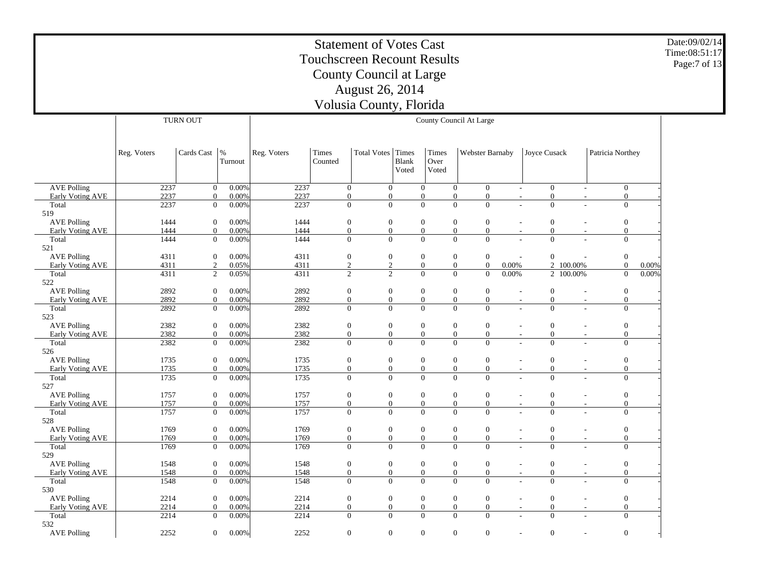Date:09/02/14Time:08:51:17Page:7 of 13

 AVE Polling Early Voting AVE Total 519 AVE Polling Early Voting AVE Total 521 AVE Polling Early Voting AVE Total 522 AVE Polling Early Voting AVE Total 523 AVE Polling Early Voting AVE Total 526 AVE Polling Early Voting AVE Total 527 AVE Polling Early Voting AVE Total 528 AVE Polling Early Voting AVE Total 529 AVE Polling Early Voting AVE Total 530 AVE Polling Early Voting AVE Total 532 AVE Polling Reg. Voters | Cards Cast | % Turnout TURN OUTReg. Voters | Times CountedTotal Votes | Times Blank VotedTimes Over VotedWebster Barnaby | Joyce Cusack | Patricia Northey County Council At Large 2237 $0 - 0.00%$  $\%$  2237 0 0 0 0 0 - 0 - 0 -2237 0 0.00% $\%$  2237 0 0 0 0 0 - 0 - 0 -2237 $0 - 0.00\%$  $\%$  2237 0 0 0 0 0 - 0 - 0 -1444 0 0.00% $\%$  1444 0 0 0 0 0 0 - 0 - 0 -1444 0 0.00% $\%$  1444 0 0 0 0 0 0 - 0 - 0 -1444 $0 - 0.00\%$  $\%$  1444 0 0 0 0 0 0 - 0 - 0 -4311 0 0.00% $\%$  4311 0 0 0 0 0 - 0 - 0 -4311 2 0.05% $\%$  4311 2 2 0 0 0.00% 2 100.00% 0 0.00% 4311 $\overline{2}$  0.05%  $\%$  4311 2 2 0 0 0.00% 2 100.00% 0 0.00% 2892 0 0.00% $\%$  2892 0 0 0 0 0 - 0 - 0 -2892 0 0.00% $\%$  2892 0 0 0 0 0 - 0 - 0 -2892 $0$  0.00%  $\%$  2892 0 0 0 0 0 - 0 - 0 -2382 0 0.00% $\%$  2382 0 0 0 0 0 - 0 - 0 -2382 0 0.00% $\%$  2382 0 0 0 0 0 - 0 - 0 -2382 $0$  0.00%  $\%$  2382 0 0 0 0 0 - 0 - 0 -1735 0 0.00% $\%$  1735 0 0 0 0 0 - 0 - 0 -1735 0 0.00% $\%$  1735 0 0 0 0 0 - 0 - 0 -1735 $0 - 0.00%$  $\%$  1735 0 0 0 0 0 - 0 - 0 -1757 0 0.00% $\%$  1757 0 0 0 0 0 0 - 0 - 0 -1757 0 0.00% $\%$  1757 0 0 0 0 0 0 - 0 - 0 -1757 $0 - 0.00\%$  $\%$  1757 0 0 0 0 0 0 - 0 - 0 -1769 0 0.00% $\%$  1769 0 0 0 0 0 - 0 - 0 -1769 0 0.00% $\%$  1769 0 0 0 0 0 - 0 - 0 -1769 $0$  0.00%  $\%$  1769 0 0 0 0 0 - 0 - 0 -1548 0 0.00% $\%$  1548 0 0 0 0 0 0 - 0 - 0 -1548 0 0.00% $\%$  1548 0 0 0 0 0 0 - 0 - 0 -1548 $0 - 0.00\%$  $\%$  1548 0 0 0 0 0 0 - 0 - 0 -2214 0 0.00% $\%$  2214 0 0 0 0 0 - 0 - 0 -2214 0 0.00% $\%$  2214 0 0 0 0 0 - 0 - 0 -2214 $0 - 0.00\%$  $\%$  2214 0 0 0 0 0 - 0 - 0 -2252 0 0.00% $\%$  2252 0 0 0 0 0 - 0 - 0 -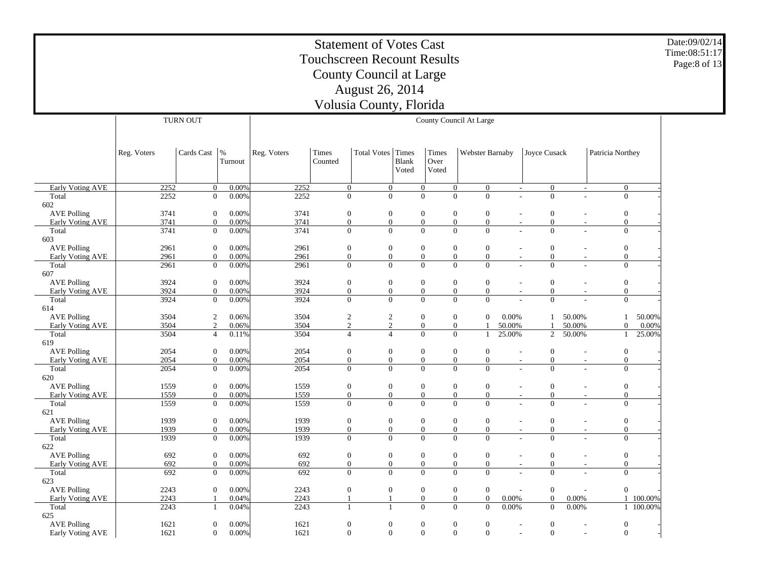Date:09/02/14 Time:08:51:17Page:8 of 13

|                                               |             | TURN OUT         |                 |             |                  |                    |                         |                        | County Council At Large              |                          |                  |                          |                                      |           |
|-----------------------------------------------|-------------|------------------|-----------------|-------------|------------------|--------------------|-------------------------|------------------------|--------------------------------------|--------------------------|------------------|--------------------------|--------------------------------------|-----------|
|                                               |             |                  |                 |             |                  |                    |                         |                        |                                      |                          |                  |                          |                                      |           |
|                                               | Reg. Voters | Cards Cast       | $\%$<br>Turnout | Reg. Voters | Times<br>Counted | <b>Total Votes</b> | Times<br>Blank<br>Voted | Times<br>Over<br>Voted | Webster Barnaby                      |                          | Joyce Cusack     |                          | Patricia Northey                     |           |
| <b>Early Voting AVE</b>                       | 2252        | $\overline{0}$   | 0.00%           | 2252        | $\overline{0}$   | $\mathbf{0}$       |                         | $\mathbf{0}$           | $\mathbf{0}$<br>$\mathbf{0}$         | $\overline{\phantom{a}}$ | $\mathbf{0}$     | $\overline{\phantom{a}}$ | $\mathbf{0}$                         |           |
| Total                                         | 2252        | $\mathbf{0}$     | 0.00%           | 2252        | $\mathbf{0}$     | $\overline{0}$     |                         | $\overline{0}$         | $\overline{0}$<br>$\Omega$           | ÷                        | $\overline{0}$   |                          | $\boldsymbol{0}$                     |           |
| 602                                           |             |                  |                 |             |                  |                    |                         |                        |                                      |                          |                  |                          |                                      |           |
| <b>AVE Polling</b>                            | 3741        | $\theta$         | 0.00%           | 3741        | $\mathbf{0}$     | $\boldsymbol{0}$   |                         | $\boldsymbol{0}$       | $\mathbf{0}$<br>$\mathbf{0}$         |                          | $\boldsymbol{0}$ |                          | $\mathbf{0}$                         |           |
| Early Voting AVE                              | 3741        | $\mathbf{0}$     | 0.00%           | 3741        | $\mathbf{0}$     | $\boldsymbol{0}$   |                         | $\boldsymbol{0}$       | $\mathbf{0}$<br>$\boldsymbol{0}$     |                          | $\boldsymbol{0}$ | $\sim$                   | $\boldsymbol{0}$                     |           |
| Total                                         | 3741        | $\mathbf{0}$     | 0.00%           | 3741        | $\mathbf{0}$     | $\mathbf{0}$       |                         | $\overline{0}$         | $\Omega$<br>$\Omega$                 |                          | $\Omega$         |                          | $\mathbf{0}$                         |           |
| 603                                           |             |                  |                 |             |                  |                    |                         |                        |                                      |                          |                  |                          |                                      |           |
| <b>AVE Polling</b>                            | 2961        | $\boldsymbol{0}$ | 0.00%           | 2961        | $\mathbf{0}$     | $\boldsymbol{0}$   |                         | $\boldsymbol{0}$       | $\mathbf{0}$<br>$\boldsymbol{0}$     |                          | $\mathbf{0}$     |                          | $\mathbf{0}$                         |           |
| Early Voting AVE                              | 2961        | $\mathbf{0}$     | 0.00%           | 2961        | $\mathbf{0}$     | $\boldsymbol{0}$   |                         | $\boldsymbol{0}$       | $\mathbf{0}$<br>$\boldsymbol{0}$     | $\overline{\phantom{a}}$ | $\mathbf{0}$     | $\overline{\phantom{a}}$ | $\boldsymbol{0}$                     |           |
| Total<br>607                                  | 2961        | $\mathbf{0}$     | 0.00%           | 2961        | $\mathbf{0}$     | $\mathbf{0}$       |                         | $\overline{0}$         | $\Omega$<br>$\Omega$                 |                          | $\Omega$         | ÷.                       | $\overline{0}$                       |           |
|                                               | 3924        | $\mathbf{0}$     | 0.00%           | 3924        | $\mathbf{0}$     | $\boldsymbol{0}$   |                         | $\boldsymbol{0}$       | $\boldsymbol{0}$<br>$\mathbf{0}$     | $\sim$                   | $\boldsymbol{0}$ |                          |                                      |           |
| <b>AVE Polling</b><br><b>Early Voting AVE</b> | 3924        | $\mathbf{0}$     | 0.00%           | 3924        | $\mathbf{0}$     | $\boldsymbol{0}$   |                         | $\boldsymbol{0}$       | $\mathbf{0}$<br>$\mathbf{0}$         | $\sim$                   | $\mathbf{0}$     | $\overline{\phantom{a}}$ | $\boldsymbol{0}$<br>$\boldsymbol{0}$ |           |
| Total                                         | 3924        | $\mathbf{0}$     | 0.00%           | 3924        | $\overline{0}$   | $\overline{0}$     |                         | $\overline{0}$         | $\overline{0}$<br>$\mathbf{0}$       |                          | $\overline{0}$   |                          | $\boldsymbol{0}$                     |           |
| 614                                           |             |                  |                 |             |                  |                    |                         |                        |                                      |                          |                  |                          |                                      |           |
| <b>AVE Polling</b>                            | 3504        | $\mathfrak{2}$   | 0.06%           | 3504        | $\sqrt{2}$       | $\mathbf{2}$       |                         | $\boldsymbol{0}$       | $\mathbf{0}$<br>$\mathbf{0}$         | 0.00%                    | 1                | 50.00%                   | 1                                    | 50.00%    |
| Early Voting AVE                              | 3504        | $\overline{2}$   | 0.06%           | 3504        | $\mathfrak{2}$   | $\sqrt{2}$         |                         | $\boldsymbol{0}$       | $\boldsymbol{0}$                     | 50.00%                   |                  | 50.00%                   | $\boldsymbol{0}$                     | 0.00%     |
| Total                                         | 3504        | $\overline{4}$   | 0.11%           | 3504        | $\overline{4}$   | $\overline{4}$     |                         | $\overline{0}$         | $\overline{0}$<br>1                  | 25.00%                   | 2                | 50.00%                   | 1                                    | 25.00%    |
| 619                                           |             |                  |                 |             |                  |                    |                         |                        |                                      |                          |                  |                          |                                      |           |
| <b>AVE Polling</b>                            | 2054        | $\boldsymbol{0}$ | 0.00%           | 2054        | $\boldsymbol{0}$ | $\boldsymbol{0}$   |                         | $\boldsymbol{0}$       | $\boldsymbol{0}$<br>$\boldsymbol{0}$ |                          | $\boldsymbol{0}$ |                          | $\boldsymbol{0}$                     |           |
| Early Voting AVE                              | 2054        | $\Omega$         | 0.00%           | 2054        | $\mathbf{0}$     | $\mathbf{0}$       |                         | $\overline{0}$         | $\mathbf{0}$<br>$\mathbf{0}$         | $\sim$                   | $\mathbf{0}$     | $\sim$                   | $\boldsymbol{0}$                     |           |
| Total                                         | 2054        | $\mathbf{0}$     | 0.00%           | 2054        | $\mathbf{0}$     | $\overline{0}$     |                         | $\overline{0}$         | $\Omega$<br>$\overline{0}$           |                          | $\Omega$         |                          | $\mathbf{0}$                         |           |
| 620                                           |             |                  |                 |             |                  |                    |                         |                        |                                      |                          |                  |                          |                                      |           |
| <b>AVE Polling</b>                            | 1559        | $\mathbf{0}$     | 0.00%           | 1559        | $\mathbf{0}$     | $\boldsymbol{0}$   |                         | $\mathbf{0}$           | $\mathbf{0}$<br>$\mathbf{0}$         | $\overline{\phantom{a}}$ | $\theta$         | $\sim$                   | $\boldsymbol{0}$                     |           |
| Early Voting AVE                              | 1559        | $\mathbf{0}$     | 0.00%           | 1559        | $\mathbf{0}$     | $\boldsymbol{0}$   |                         | $\boldsymbol{0}$       | $\boldsymbol{0}$<br>$\mathbf{0}$     | $\sim$                   | $\boldsymbol{0}$ | $\overline{\phantom{a}}$ | $\boldsymbol{0}$                     |           |
| Total                                         | 1559        | $\mathbf{0}$     | 0.00%           | 1559        | $\overline{0}$   | $\overline{0}$     |                         | $\overline{0}$         | $\Omega$<br>$\Omega$                 |                          | $\Omega$         |                          | $\overline{0}$                       |           |
| 621                                           |             |                  |                 |             |                  |                    |                         |                        |                                      |                          |                  |                          |                                      |           |
| <b>AVE Polling</b>                            | 1939        | $\boldsymbol{0}$ | 0.00%           | 1939        | $\boldsymbol{0}$ | $\boldsymbol{0}$   |                         | $\boldsymbol{0}$       | $\boldsymbol{0}$<br>$\boldsymbol{0}$ | $\sim$                   | $\mathbf{0}$     | $\overline{\phantom{a}}$ | $\boldsymbol{0}$                     |           |
| Early Voting AVE                              | 1939        | $\mathbf{0}$     | 0.00%           | 1939        | $\boldsymbol{0}$ | $\boldsymbol{0}$   |                         | $\boldsymbol{0}$       | $\boldsymbol{0}$<br>$\boldsymbol{0}$ |                          | $\boldsymbol{0}$ | $\overline{\phantom{a}}$ | $\boldsymbol{0}$                     |           |
| Total<br>622                                  | 1939        | $\mathbf{0}$     | 0.00%           | 1939        | $\theta$         | $\Omega$           |                         | $\Omega$               | $\Omega$<br>$\Omega$                 |                          | $\Omega$         |                          | $\Omega$                             |           |
| <b>AVE Polling</b>                            | 692         | $\boldsymbol{0}$ | 0.00%           | 692         | $\boldsymbol{0}$ | $\boldsymbol{0}$   |                         | $\boldsymbol{0}$       | $\boldsymbol{0}$<br>$\boldsymbol{0}$ | $\overline{\phantom{a}}$ | $\boldsymbol{0}$ | $\overline{\phantom{a}}$ | $\boldsymbol{0}$                     |           |
| <b>Early Voting AVE</b>                       | 692         | $\overline{0}$   | 0.00%           | 692         | $\mathbf{0}$     | $\mathbf{0}$       |                         | $\overline{0}$         | $\mathbf{0}$<br>$\overline{0}$       | $\sim$                   | $\mathbf{0}$     | $\sim$                   | $\mathbf{0}$                         |           |
| Total<br>623                                  | 692         | $\overline{0}$   | 0.00%           | 692         | $\Omega$         | $\overline{0}$     |                         | $\overline{0}$         | $\mathbf{0}$<br>$\Omega$             |                          | $\Omega$         |                          | $\overline{0}$                       |           |
| <b>AVE Polling</b>                            | 2243        | $\overline{0}$   | 0.00%           | 2243        | $\mathbf{0}$     | $\boldsymbol{0}$   |                         | $\boldsymbol{0}$       | $\mathbf{0}$<br>$\mathbf{0}$         | $\sim$                   | $\mathbf{0}$     | $\overline{\phantom{a}}$ | $\boldsymbol{0}$                     |           |
| Early Voting AVE                              | 2243        | $\mathbf{1}$     | 0.04%           | 2243        | $\mathbf{1}$     | 1                  |                         | $\boldsymbol{0}$       | $\boldsymbol{0}$<br>$\boldsymbol{0}$ | $0.00\%$                 | $\boldsymbol{0}$ | 0.00%                    |                                      | 1 100.00% |
| Total                                         | 2243        | $\mathbf{1}$     | 0.04%           | 2243        | $\mathbf{1}$     |                    |                         | $\overline{0}$         | $\overline{0}$<br>$\boldsymbol{0}$   | 0.00%                    | $\boldsymbol{0}$ | 0.00%                    |                                      | 1 100.00% |
| 625                                           |             |                  |                 |             |                  |                    |                         |                        |                                      |                          |                  |                          |                                      |           |
| <b>AVE Polling</b>                            | 1621        | $\overline{0}$   | 0.00%           | 1621        | $\mathbf{0}$     | $\mathbf{0}$       |                         | $\boldsymbol{0}$       | $\boldsymbol{0}$<br>$\mathbf{0}$     |                          | $\boldsymbol{0}$ |                          | $\boldsymbol{0}$                     |           |
| Early Voting AVE                              | 1621        | $\overline{0}$   | 0.00%           | 1621        | $\theta$         | $\mathbf{0}$       |                         | $\mathbf{0}$           | $\Omega$<br>$\Omega$                 |                          | $\mathbf{0}$     |                          | $\mathbf{0}$                         |           |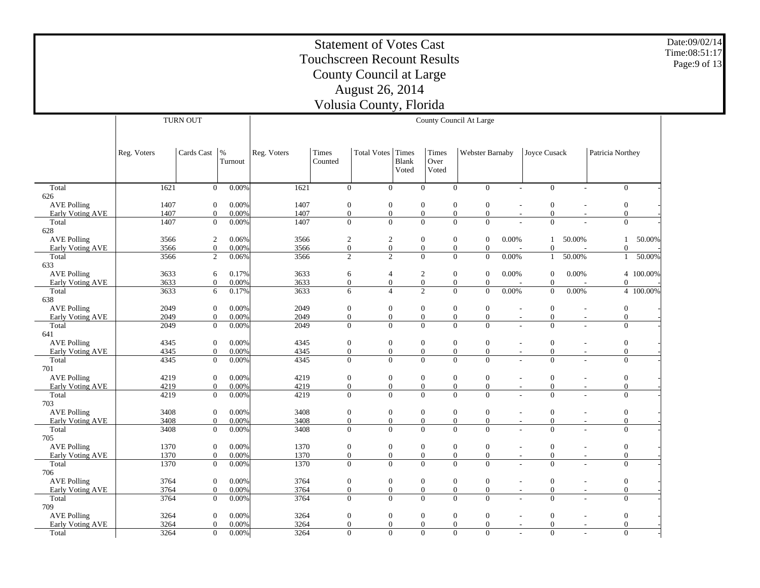Date:09/02/14 Time:08:51:17Page:9 of 13

|                                               |              | <b>TURN OUT</b>                  |                |              |                                      |                                    |       |                                    | County Council At Large            |                                    |                                                      |                          |                                    |           |
|-----------------------------------------------|--------------|----------------------------------|----------------|--------------|--------------------------------------|------------------------------------|-------|------------------------------------|------------------------------------|------------------------------------|------------------------------------------------------|--------------------------|------------------------------------|-----------|
|                                               |              |                                  |                |              |                                      |                                    |       |                                    |                                    |                                    |                                                      |                          |                                    |           |
|                                               |              |                                  |                |              |                                      |                                    |       |                                    |                                    |                                    |                                                      |                          |                                    |           |
|                                               | Reg. Voters  | Cards Cast                       | $\%$           | Reg. Voters  | Times                                | <b>Total Votes</b>                 | Times | Times                              |                                    | Webster Barnaby                    | Joyce Cusack                                         |                          | Patricia Northey                   |           |
|                                               |              |                                  | Turnout        |              | Counted                              |                                    | Blank | Over                               |                                    |                                    |                                                      |                          |                                    |           |
|                                               |              |                                  |                |              |                                      |                                    | Voted | Voted                              |                                    |                                    |                                                      |                          |                                    |           |
| Total                                         | 1621         | $\overline{0}$                   | $0.00\%$       | 1621         | $\overline{0}$                       | $\overline{0}$                     |       | $\overline{0}$                     | $\mathbf{0}$                       | $\bar{0}$                          | $\bar{0}$<br>$\sim$                                  | L.                       | $\overline{0}$                     |           |
| 626                                           |              |                                  |                |              |                                      |                                    |       |                                    |                                    |                                    |                                                      |                          |                                    |           |
| <b>AVE Polling</b>                            | 1407         | $\mathbf{0}$                     | 0.00%          | 1407         | $\boldsymbol{0}$                     | $\boldsymbol{0}$                   |       | $\mathbf{0}$                       | $\boldsymbol{0}$                   | $\mathbf{0}$                       | $\boldsymbol{0}$<br>$\overline{\phantom{a}}$         | $\overline{a}$           | $\boldsymbol{0}$                   |           |
| Early Voting AVE                              | 1407         | $\mathbf{0}$                     | 0.00%          | 1407         | $\boldsymbol{0}$                     | $\boldsymbol{0}$                   |       | $\boldsymbol{0}$                   | $\boldsymbol{0}$                   | $\boldsymbol{0}$                   | $\mathbf{0}$                                         |                          | $\boldsymbol{0}$                   |           |
| Total                                         | 1407         | $\overline{0}$                   | 0.00%          | 1407         | $\Omega$                             | $\theta$                           |       | $\Omega$                           | $\Omega$                           | $\theta$                           | $\Omega$                                             |                          | $\overline{0}$                     |           |
| 628                                           |              |                                  |                |              |                                      |                                    |       |                                    |                                    |                                    |                                                      |                          |                                    |           |
| <b>AVE Polling</b>                            | 3566         | $\overline{2}$                   | 0.06%          | 3566         | $\overline{2}$                       | $\boldsymbol{2}$                   |       | $\boldsymbol{0}$                   | $\mathbf{0}$                       | $\boldsymbol{0}$<br>0.00%          | $\mathbf{1}$                                         | 50.00%                   | $\mathbf{1}$                       | 50.00%    |
| Early Voting AVE<br>Total                     | 3566<br>3566 | $\overline{0}$<br>$\overline{2}$ | 0.00%          | 3566<br>3566 | $\boldsymbol{0}$<br>$\overline{2}$   | $\boldsymbol{0}$<br>$\overline{2}$ |       | $\mathbf{0}$<br>$\overline{0}$     | $\overline{0}$<br>$\Omega$         | $\overline{0}$<br>$\overline{0}$   | $\Omega$<br>$\mathbf{1}$                             |                          | $\theta$                           |           |
| 633                                           |              |                                  | 0.06%          |              |                                      |                                    |       |                                    |                                    | 0.00%                              |                                                      | 50.00%                   | $\mathbf{1}$                       | 50.00%    |
| <b>AVE Polling</b>                            | 3633         | 6                                | 0.17%          | 3633         | 6                                    | $\overline{4}$                     |       | 2                                  | $\mathbf{0}$                       | $\mathbf{0}$<br>0.00%              | $\overline{0}$                                       | 0.00%                    |                                    | 4 100.00% |
| Early Voting AVE                              | 3633         | $\overline{0}$                   | 0.00%          | 3633         | $\overline{0}$                       | $\overline{0}$                     |       | $\mathbf{0}$                       | $\mathbf{0}$                       | $\overline{0}$                     | $\Omega$                                             |                          | $\theta$                           |           |
| Total                                         | 3633         | 6                                | 0.17%          | 3633         | 6                                    | $\overline{4}$                     |       | $\overline{2}$                     | $\theta$                           | $\overline{0}$<br>0.00%            | $\overline{0}$                                       | 0.00%                    |                                    | 4 100.00% |
| 638                                           |              |                                  |                |              |                                      |                                    |       |                                    |                                    |                                    |                                                      |                          |                                    |           |
| <b>AVE Polling</b>                            | 2049         | $\overline{0}$                   | 0.00%          | 2049         | $\boldsymbol{0}$                     | $\mathbf{0}$                       |       | $\mathbf{0}$                       | $\mathbf{0}$                       | $\mathbf{0}$                       | $\mathbf{0}$<br>$\overline{a}$                       | ٠                        | $\boldsymbol{0}$                   |           |
| Early Voting AVE                              | 2049         | $\mathbf{0}$                     | 0.00%          | 2049         | $\boldsymbol{0}$                     | $\boldsymbol{0}$                   |       | $\overline{0}$                     | $\overline{0}$                     | $\boldsymbol{0}$                   | $\mathbf{0}$                                         | $\overline{\phantom{a}}$ | $\overline{0}$                     |           |
| Total                                         | 2049         | $\overline{0}$                   | 0.00%          | 2049         | $\mathbf{0}$                         | $\overline{0}$                     |       | $\overline{0}$                     | $\theta$                           | $\overline{0}$                     | $\theta$                                             |                          | $\overline{0}$                     |           |
| 641<br><b>AVE Polling</b>                     | 4345         | $\mathbf{0}$                     | 0.00%          | 4345         | $\boldsymbol{0}$                     | $\boldsymbol{0}$                   |       | $\mathbf{0}$                       | $\boldsymbol{0}$                   | $\mathbf{0}$                       | $\mathbf{0}$                                         |                          | $\boldsymbol{0}$                   |           |
| Early Voting AVE                              | 4345         | $\mathbf{0}$                     | 0.00%          | 4345         | $\boldsymbol{0}$                     | $\boldsymbol{0}$                   |       | $\boldsymbol{0}$                   | $\boldsymbol{0}$                   | $\boldsymbol{0}$                   | $\boldsymbol{0}$                                     |                          | $\overline{0}$                     |           |
| Total                                         | 4345         | $\mathbf{0}$                     | 0.00%          | 4345         | $\mathbf{0}$                         | $\overline{0}$                     |       | $\overline{0}$                     | $\theta$                           | $\overline{0}$                     | $\Omega$                                             |                          | $\boldsymbol{0}$                   |           |
| 701                                           |              |                                  |                |              |                                      |                                    |       |                                    |                                    |                                    |                                                      |                          |                                    |           |
| <b>AVE Polling</b>                            | 4219         | $\boldsymbol{0}$                 | 0.00%          | 4219         | $\boldsymbol{0}$                     | $\boldsymbol{0}$                   |       | $\boldsymbol{0}$                   | $\boldsymbol{0}$                   | $\boldsymbol{0}$                   | $\boldsymbol{0}$                                     | L,                       | $\boldsymbol{0}$                   |           |
| Early Voting AVE                              | 4219         | $\mathbf{0}$                     | 0.00%          | 4219         | $\boldsymbol{0}$                     | $\boldsymbol{0}$                   |       | $\mathbf{0}$                       | $\boldsymbol{0}$                   | $\boldsymbol{0}$                   | $\boldsymbol{0}$                                     | $\overline{\phantom{a}}$ | $\boldsymbol{0}$                   |           |
| Total                                         | 4219         | $\mathbf{0}$                     | 0.00%          | 4219         | $\mathbf{0}$                         | $\overline{0}$                     |       | $\overline{0}$                     | $\theta$                           | $\theta$                           | $\Omega$                                             |                          | $\boldsymbol{0}$                   |           |
| 703                                           | 3408         | $\overline{0}$                   | 0.00%          | 3408         |                                      | $\boldsymbol{0}$                   |       | $\boldsymbol{0}$                   | $\boldsymbol{0}$                   | $\boldsymbol{0}$                   | $\boldsymbol{0}$                                     |                          | $\boldsymbol{0}$                   |           |
| <b>AVE Polling</b><br><b>Early Voting AVE</b> | 3408         | $\overline{0}$                   | 0.00%          | 3408         | $\boldsymbol{0}$<br>$\boldsymbol{0}$ | $\overline{0}$                     |       | $\overline{0}$                     | $\overline{0}$                     | $\overline{0}$                     | $\overline{0}$                                       | $\sim$<br>÷.             | $\overline{0}$                     |           |
| Total                                         | 3408         | $\overline{0}$                   | 0.00%          | 3408         | $\boldsymbol{0}$                     | $\overline{0}$                     |       | $\overline{0}$                     | $\theta$                           | $\overline{0}$                     | $\Omega$                                             |                          | $\boldsymbol{0}$                   |           |
| 705                                           |              |                                  |                |              |                                      |                                    |       |                                    |                                    |                                    |                                                      |                          |                                    |           |
| <b>AVE Polling</b>                            | 1370         | $\overline{0}$                   | 0.00%          | 1370         | $\boldsymbol{0}$                     | $\boldsymbol{0}$                   |       | $\boldsymbol{0}$                   | $\mathbf{0}$                       | $\boldsymbol{0}$                   | $\overline{0}$<br>$\overline{\phantom{a}}$           | $\overline{\phantom{a}}$ | $\boldsymbol{0}$                   |           |
| Early Voting AVE                              | 1370         | $\mathbf{0}$                     | 0.00%          | 1370         | $\boldsymbol{0}$                     | $\overline{0}$                     |       | $\overline{0}$                     | $\overline{0}$                     | $\boldsymbol{0}$                   | $\mathbf{0}$                                         | $\sim$                   | $\overline{0}$                     |           |
| Total                                         | 1370         | $\mathbf{0}$                     | 0.00%          | 1370         | $\mathbf{0}$                         | $\overline{0}$                     |       | $\overline{0}$                     | $\theta$                           | $\overline{0}$                     | $\theta$                                             |                          | $\overline{0}$                     |           |
| 706                                           |              |                                  |                |              |                                      |                                    |       |                                    |                                    |                                    |                                                      |                          |                                    |           |
| <b>AVE Polling</b>                            | 3764         | $\mathbf{0}$                     | 0.00%          | 3764         | $\boldsymbol{0}$                     | $\boldsymbol{0}$                   |       | $\boldsymbol{0}$                   | $\boldsymbol{0}$<br>$\overline{0}$ | $\boldsymbol{0}$                   | $\boldsymbol{0}$                                     | $\sim$                   | $\boldsymbol{0}$<br>$\overline{0}$ |           |
| Early Voting AVE<br>Total                     | 3764<br>3764 | $\mathbf{0}$<br>$\boldsymbol{0}$ | 0.00%<br>0.00% | 3764<br>3764 | $\boldsymbol{0}$<br>$\boldsymbol{0}$ | $\boldsymbol{0}$<br>$\overline{0}$ |       | $\boldsymbol{0}$<br>$\overline{0}$ | $\theta$                           | $\boldsymbol{0}$<br>$\overline{0}$ | $\mathbf{0}$<br>$\overline{\phantom{a}}$<br>$\Omega$ | $\sim$                   | $\boldsymbol{0}$                   |           |
| 709                                           |              |                                  |                |              |                                      |                                    |       |                                    |                                    |                                    |                                                      |                          |                                    |           |
| <b>AVE Polling</b>                            | 3264         | $\boldsymbol{0}$                 | 0.00%          | 3264         | $\boldsymbol{0}$                     | $\boldsymbol{0}$                   |       | $\boldsymbol{0}$                   | $\boldsymbol{0}$                   | $\boldsymbol{0}$                   | $\overline{0}$                                       | $\overline{\phantom{a}}$ | $\boldsymbol{0}$                   |           |
| <b>Early Voting AVE</b>                       | 3264         | $\overline{0}$                   | 0.00%          | 3264         | $\mathbf{0}$                         | $\overline{0}$                     |       | $\overline{0}$                     | $\overline{0}$                     | $\overline{0}$                     | $\overline{0}$<br>$\overline{\phantom{a}}$           | $\overline{\phantom{a}}$ | $\overline{0}$                     |           |
| Total                                         | 3264         | $\boldsymbol{0}$                 | 0.00%          | 3264         | $\mathbf{0}$                         | $\overline{0}$                     |       | $\overline{0}$                     | $\overline{0}$                     | $\overline{0}$                     | $\overline{0}$                                       | ÷,                       | $\boldsymbol{0}$                   |           |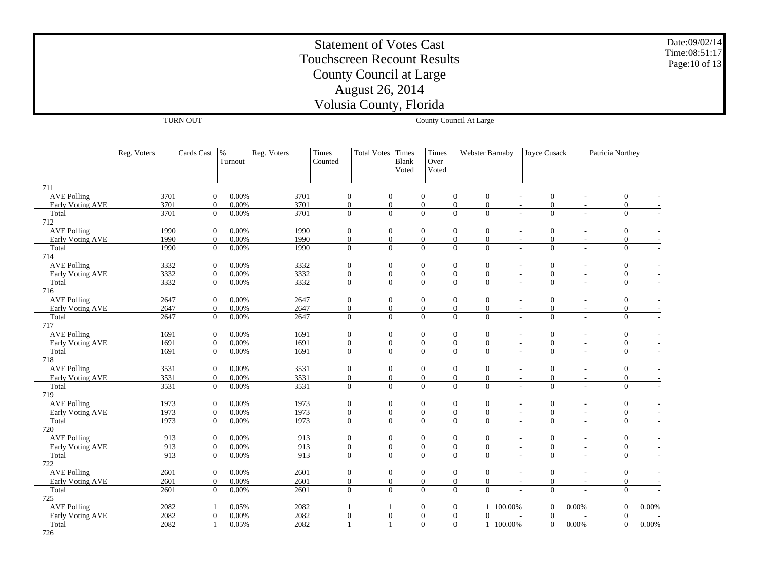|                           | <b>Statement of Votes Cast</b><br><b>Touchscreen Recount Results</b><br>County Council at Large                                                                                                                                                                                                              |                                                                                                                                                                                                          |                                                        |              |                                                                                                                                                                  |                              |                  |                              |                                    |                              |                                              |                          |                                |          | Date:09/02/14<br>Time:08:51:17<br>Page: 10 of 13 |  |  |  |
|---------------------------|--------------------------------------------------------------------------------------------------------------------------------------------------------------------------------------------------------------------------------------------------------------------------------------------------------------|----------------------------------------------------------------------------------------------------------------------------------------------------------------------------------------------------------|--------------------------------------------------------|--------------|------------------------------------------------------------------------------------------------------------------------------------------------------------------|------------------------------|------------------|------------------------------|------------------------------------|------------------------------|----------------------------------------------|--------------------------|--------------------------------|----------|--------------------------------------------------|--|--|--|
|                           |                                                                                                                                                                                                                                                                                                              |                                                                                                                                                                                                          |                                                        |              |                                                                                                                                                                  |                              |                  |                              |                                    |                              |                                              |                          |                                |          |                                                  |  |  |  |
|                           |                                                                                                                                                                                                                                                                                                              |                                                                                                                                                                                                          |                                                        |              |                                                                                                                                                                  | <b>August 26, 2014</b>       |                  |                              |                                    |                              |                                              |                          |                                |          |                                                  |  |  |  |
|                           |                                                                                                                                                                                                                                                                                                              |                                                                                                                                                                                                          |                                                        |              |                                                                                                                                                                  | Volusia County, Florida      |                  |                              |                                    |                              |                                              |                          |                                |          |                                                  |  |  |  |
|                           |                                                                                                                                                                                                                                                                                                              |                                                                                                                                                                                                          |                                                        |              |                                                                                                                                                                  |                              |                  |                              |                                    |                              |                                              |                          |                                |          |                                                  |  |  |  |
|                           | <b>TURN OUT</b><br>County Council At Large                                                                                                                                                                                                                                                                   |                                                                                                                                                                                                          |                                                        |              |                                                                                                                                                                  |                              |                  |                              |                                    |                              |                                              |                          |                                |          |                                                  |  |  |  |
|                           | Reg. Voters                                                                                                                                                                                                                                                                                                  | Cards Cast<br>Reg. Voters<br>Times<br>Total Votes   Times<br>Times<br><b>Webster Barnaby</b><br>Joyce Cusack<br>Patricia Northey<br>$\%$<br>Counted<br><b>Blank</b><br>Over<br>Turnout<br>Voted<br>Voted |                                                        |              |                                                                                                                                                                  |                              |                  |                              |                                    |                              |                                              |                          |                                |          |                                                  |  |  |  |
| 711                       |                                                                                                                                                                                                                                                                                                              |                                                                                                                                                                                                          |                                                        |              |                                                                                                                                                                  |                              |                  |                              |                                    |                              |                                              |                          |                                |          |                                                  |  |  |  |
| <b>AVE Polling</b>        | 3701<br>0.00%<br>3701<br>$\mathbf{0}$<br>$\boldsymbol{0}$<br>$\mathbf{0}$<br>$\mathbf{0}$<br>$\mathbf{0}$<br>$\mathbf{0}$<br>$\mathbf{0}$<br>$\mathbf{0}$<br>$\overline{\phantom{a}}$                                                                                                                        |                                                                                                                                                                                                          |                                                        |              |                                                                                                                                                                  |                              |                  |                              |                                    |                              |                                              |                          |                                |          |                                                  |  |  |  |
| Early Voting AVE          | 3701<br>$\boldsymbol{0}$<br>0.00%<br>3701<br>$\mathbf{0}$<br>$\mathbf{0}$<br>$\mathbf{0}$<br>$\mathbf{0}$<br>$\mathbf{0}$<br>$\boldsymbol{0}$<br>$\overline{0}$<br>3701<br>$\overline{0}$<br>$\theta$<br>$\theta$<br>$\Omega$<br>$\theta$<br>$\mathbf{0}$<br>3701<br>$\overline{0}$<br>0.00%<br>$\mathbf{0}$ |                                                                                                                                                                                                          |                                                        |              |                                                                                                                                                                  |                              |                  |                              |                                    |                              |                                              |                          |                                |          |                                                  |  |  |  |
| Total<br>712              |                                                                                                                                                                                                                                                                                                              |                                                                                                                                                                                                          |                                                        |              |                                                                                                                                                                  |                              |                  |                              |                                    |                              |                                              |                          |                                |          |                                                  |  |  |  |
| <b>AVE Polling</b>        | 1990                                                                                                                                                                                                                                                                                                         |                                                                                                                                                                                                          | $\boldsymbol{0}$<br>0.00%                              |              | 1990<br>$\mathbf{0}$<br>$\mathbf{0}$<br>$\boldsymbol{0}$<br>$\boldsymbol{0}$<br>$\mathbf{0}$<br>$\mathbf{0}$<br>$\mathbf{0}$<br>$\overline{a}$                   |                              |                  |                              |                                    |                              |                                              |                          |                                |          |                                                  |  |  |  |
| Early Voting AVE          | 1990                                                                                                                                                                                                                                                                                                         |                                                                                                                                                                                                          | $\mathbf{0}$<br>0.00%                                  |              | 1990<br>$\mathbf{0}$<br>$\mathbf{0}$<br>$\overline{0}$<br>$\mathbf{0}$<br>$\overline{0}$<br>$\mathbf{0}$<br>$\overline{0}$<br>$\mathbf{0}$<br>$\mathbf{0}$       |                              |                  |                              |                                    |                              |                                              |                          |                                |          |                                                  |  |  |  |
| Total<br>714              | 1990                                                                                                                                                                                                                                                                                                         |                                                                                                                                                                                                          | $\boldsymbol{0}$<br>$0.00\%$                           | 1990         |                                                                                                                                                                  |                              |                  | $\overline{0}$               | $\Omega$                           | $\Omega$                     | $\mathbf{0}$                                 |                          | $\mathbf{0}$                   |          |                                                  |  |  |  |
| <b>AVE Polling</b>        | 3332                                                                                                                                                                                                                                                                                                         |                                                                                                                                                                                                          | $\boldsymbol{0}$<br>0.00%                              |              | 3332<br>$\boldsymbol{0}$<br>$\boldsymbol{0}$<br>$\mathbf{0}$<br>$\boldsymbol{0}$<br>$\boldsymbol{0}$<br>$\mathbf{0}$<br>$\mathbf{0}$<br>$\overline{\phantom{a}}$ |                              |                  |                              |                                    |                              |                                              |                          |                                |          |                                                  |  |  |  |
| <b>Early Voting AVE</b>   | 3332                                                                                                                                                                                                                                                                                                         |                                                                                                                                                                                                          | $\overline{0}$<br>0.00%                                |              | 3332<br>$\mathbf{0}$<br>$\boldsymbol{0}$<br>$\overline{0}$<br>$\mathbf{0}$<br>$\overline{0}$<br>$\boldsymbol{0}$<br>$\overline{0}$<br>$\overline{\phantom{a}}$   |                              |                  |                              |                                    |                              |                                              |                          |                                |          |                                                  |  |  |  |
| Total                     | 3332                                                                                                                                                                                                                                                                                                         |                                                                                                                                                                                                          | $\boldsymbol{0}$<br>0.00%                              |              | 3332<br>$\mathbf{0}$<br>$\theta$<br>$\theta$<br>$\Omega$<br>$\theta$<br>$\mathbf{0}$<br>$\mathbf{0}$<br>L.                                                       |                              |                  |                              |                                    |                              |                                              |                          |                                |          |                                                  |  |  |  |
| 716                       |                                                                                                                                                                                                                                                                                                              |                                                                                                                                                                                                          |                                                        |              |                                                                                                                                                                  |                              |                  |                              |                                    |                              |                                              |                          |                                |          |                                                  |  |  |  |
| <b>AVE Polling</b>        | 2647                                                                                                                                                                                                                                                                                                         |                                                                                                                                                                                                          | $\boldsymbol{0}$<br>0.00%                              | 2647         | $\boldsymbol{0}$                                                                                                                                                 | $\boldsymbol{0}$             |                  | $\mathbf{0}$                 | $\boldsymbol{0}$                   | $\boldsymbol{0}$             | $\boldsymbol{0}$                             | $\overline{\phantom{a}}$ | $\mathbf{0}$                   |          |                                                  |  |  |  |
| Early Voting AVE<br>Total | 2647<br>2647                                                                                                                                                                                                                                                                                                 |                                                                                                                                                                                                          | $\boldsymbol{0}$<br>0.00%<br>$\boldsymbol{0}$<br>0.00% | 2647<br>2647 | $\mathbf{0}$<br>$\mathbf{0}$                                                                                                                                     | $\mathbf{0}$<br>$\mathbf{0}$ |                  | $\mathbf{0}$<br>$\mathbf{0}$ | $\boldsymbol{0}$<br>$\overline{0}$ | $\boldsymbol{0}$<br>$\Omega$ | $\boldsymbol{0}$<br>$\mathbf{0}$             | $\overline{\phantom{a}}$ | $\mathbf{0}$<br>$\mathbf{0}$   |          |                                                  |  |  |  |
| 717                       |                                                                                                                                                                                                                                                                                                              |                                                                                                                                                                                                          |                                                        |              |                                                                                                                                                                  |                              |                  |                              |                                    |                              |                                              |                          |                                |          |                                                  |  |  |  |
| <b>AVE Polling</b>        | 1691                                                                                                                                                                                                                                                                                                         |                                                                                                                                                                                                          | $\boldsymbol{0}$<br>0.00%                              | 1691         | $\overline{0}$                                                                                                                                                   | $\mathbf{0}$                 |                  | $\mathbf{0}$                 | $\mathbf{0}$                       | $\boldsymbol{0}$             | $\boldsymbol{0}$                             | $\overline{a}$           | $\boldsymbol{0}$               |          |                                                  |  |  |  |
| Early Voting AVE          | 1691                                                                                                                                                                                                                                                                                                         |                                                                                                                                                                                                          | $\overline{0}$<br>0.00%                                | 1691         | $\mathbf{0}$                                                                                                                                                     |                              | $\mathbf{0}$     | $\mathbf{0}$                 | $\theta$                           | $\theta$                     | $\theta$                                     | $\overline{a}$           | $\overline{0}$                 |          |                                                  |  |  |  |
| Total                     | 1691                                                                                                                                                                                                                                                                                                         |                                                                                                                                                                                                          | 0.00%<br>$\mathbf{0}$                                  | 1691         | $\mathbf{0}$                                                                                                                                                     | $\mathbf{0}$                 |                  | $\overline{0}$               | $\mathbf{0}$                       | $\mathbf{0}$                 | $\mathbf{0}$                                 |                          | $\mathbf{0}$                   |          |                                                  |  |  |  |
| 718<br><b>AVE Polling</b> | 3531                                                                                                                                                                                                                                                                                                         |                                                                                                                                                                                                          | 0.00%<br>$\mathbf{0}$                                  | 3531         | $\boldsymbol{0}$                                                                                                                                                 | $\mathbf{0}$                 |                  | $\mathbf{0}$                 | $\mathbf{0}$                       | $\mathbf{0}$                 | $\mathbf{0}$                                 | $\overline{\phantom{a}}$ | $\mathbf{0}$                   |          |                                                  |  |  |  |
| Early Voting AVE          | 3531                                                                                                                                                                                                                                                                                                         |                                                                                                                                                                                                          | $\mathbf{0}$<br>0.00%                                  | 3531         | $\mathbf{0}$                                                                                                                                                     | $\mathbf{0}$                 |                  | $\mathbf{0}$                 | $\mathbf{0}$                       | $\mathbf{0}$                 | $\mathbf{0}$                                 | $\frac{1}{2}$            | $\mathbf{0}$                   |          |                                                  |  |  |  |
| Total                     | 3531                                                                                                                                                                                                                                                                                                         |                                                                                                                                                                                                          | $\boldsymbol{0}$<br>0.00%                              | 3531         | $\overline{0}$                                                                                                                                                   | $\overline{0}$               |                  | $\overline{0}$               | $\Omega$                           | $\Omega$                     | $\overline{0}$                               |                          | $\mathbf{0}$                   |          |                                                  |  |  |  |
| 719                       |                                                                                                                                                                                                                                                                                                              |                                                                                                                                                                                                          |                                                        |              |                                                                                                                                                                  |                              |                  |                              |                                    |                              |                                              |                          |                                |          |                                                  |  |  |  |
| <b>AVE Polling</b>        | 1973                                                                                                                                                                                                                                                                                                         |                                                                                                                                                                                                          | $\mathbf{0}$<br>0.00%                                  | 1973         | $\boldsymbol{0}$                                                                                                                                                 | $\mathbf{0}$                 |                  | $\mathbf{0}$                 | $\mathbf{0}$                       | $\mathbf{0}$                 | $\boldsymbol{0}$                             | $\overline{a}$           | $\mathbf{0}$                   |          |                                                  |  |  |  |
| Early Voting AVE          | 1973                                                                                                                                                                                                                                                                                                         |                                                                                                                                                                                                          | $\boldsymbol{0}$<br>0.00%                              | 1973         | $\mathbf{0}$                                                                                                                                                     | $\mathbf{0}$                 |                  | $\mathbf{0}$                 | $\theta$                           | $\mathbf{0}$                 | $\boldsymbol{0}$                             | $\frac{1}{2}$            | $\mathbf{0}$                   |          |                                                  |  |  |  |
| Total<br>720              | 1973                                                                                                                                                                                                                                                                                                         |                                                                                                                                                                                                          | $\mathbf{0}$<br>0.00%                                  | 1973         | $\overline{0}$                                                                                                                                                   | $\overline{0}$               |                  | $\overline{0}$               | $\Omega$                           | $\Omega$                     | $\overline{0}$                               | $\overline{a}$           | $\mathbf{0}$                   |          |                                                  |  |  |  |
| <b>AVE Polling</b>        |                                                                                                                                                                                                                                                                                                              | 913                                                                                                                                                                                                      | $\boldsymbol{0}$<br>$0.00\%$                           | 913          | $\mathbf{0}$                                                                                                                                                     | $\mathbf{0}$                 |                  | $\mathbf{0}$                 | $\boldsymbol{0}$                   | $\boldsymbol{0}$             | $\boldsymbol{0}$<br>$\overline{\phantom{a}}$ | $\overline{\phantom{a}}$ | $\mathbf{0}$                   |          |                                                  |  |  |  |
| Early Voting AVE          |                                                                                                                                                                                                                                                                                                              | 913                                                                                                                                                                                                      | $\boldsymbol{0}$<br>0.00%                              | 913          | $\mathbf{0}$                                                                                                                                                     | $\mathbf{0}$                 |                  | $\mathbf{0}$                 | $\mathbf{0}$                       | $\mathbf{0}$                 | $\mathbf{0}$                                 | $\overline{\phantom{a}}$ | $\overline{0}$                 |          |                                                  |  |  |  |
| Total                     |                                                                                                                                                                                                                                                                                                              | 913                                                                                                                                                                                                      | $\overline{0}$<br>0.00%                                | 913          | $\overline{0}$                                                                                                                                                   | $\theta$                     |                  | $\Omega$                     | $\Omega$                           | $\Omega$                     | $\mathbf{0}$                                 |                          | $\mathbf{0}$                   |          |                                                  |  |  |  |
| 722                       |                                                                                                                                                                                                                                                                                                              |                                                                                                                                                                                                          |                                                        |              |                                                                                                                                                                  |                              |                  |                              |                                    |                              |                                              |                          |                                |          |                                                  |  |  |  |
| <b>AVE Polling</b>        | 2601                                                                                                                                                                                                                                                                                                         |                                                                                                                                                                                                          | $\boldsymbol{0}$<br>0.00%                              | 2601         | $\boldsymbol{0}$                                                                                                                                                 | $\boldsymbol{0}$             |                  | $\mathbf{0}$                 | $\boldsymbol{0}$                   | $\boldsymbol{0}$             | $\mathbf{0}$                                 | $\sim$                   | $\boldsymbol{0}$               |          |                                                  |  |  |  |
| Early Voting AVE<br>Total | 2601<br>2601                                                                                                                                                                                                                                                                                                 |                                                                                                                                                                                                          | $\overline{0}$<br>0.00%<br>$\mathbf{0}$<br>0.00%       | 2601<br>2601 | $\overline{0}$<br>$\Omega$                                                                                                                                       | $\theta$                     | $\boldsymbol{0}$ | $\overline{0}$<br>$\theta$   | $\mathbf{0}$<br>$\Omega$           | $\overline{0}$<br>$\Omega$   | $\mathbf{0}$<br>$\overline{0}$               | $\overline{a}$           | $\overline{0}$<br>$\mathbf{0}$ |          |                                                  |  |  |  |
| 725                       |                                                                                                                                                                                                                                                                                                              |                                                                                                                                                                                                          |                                                        |              |                                                                                                                                                                  |                              |                  |                              |                                    |                              |                                              |                          |                                |          |                                                  |  |  |  |
| <b>AVE Polling</b>        | 2082                                                                                                                                                                                                                                                                                                         |                                                                                                                                                                                                          | 0.05%<br>1                                             | 2082         | $\mathbf{1}$                                                                                                                                                     | $\mathbf{1}$                 |                  | $\mathbf{0}$                 | $\overline{0}$                     | 1 100.00%                    | $\mathbf{0}$                                 | 0.00%                    | $\mathbf{0}$                   | 0.00%    |                                                  |  |  |  |
| Early Voting AVE          | 2082                                                                                                                                                                                                                                                                                                         |                                                                                                                                                                                                          | $\boldsymbol{0}$<br>0.00%                              | 2082         | $\boldsymbol{0}$                                                                                                                                                 | $\boldsymbol{0}$             |                  | $\mathbf{0}$                 | $\boldsymbol{0}$                   | $\Omega$                     | $\mathbf{0}$                                 |                          | $\mathbf{0}$                   |          |                                                  |  |  |  |
| Total                     | 2082                                                                                                                                                                                                                                                                                                         |                                                                                                                                                                                                          | 0.05%<br>$\mathbf{1}$                                  | 2082         | $\overline{1}$                                                                                                                                                   | $\overline{1}$               |                  | $\theta$                     | $\theta$                           | 1 100.00%                    | $\overline{0}$                               | 0.00%                    | $\mathbf{0}$                   | $0.00\%$ |                                                  |  |  |  |

Early Voting AVE Total 726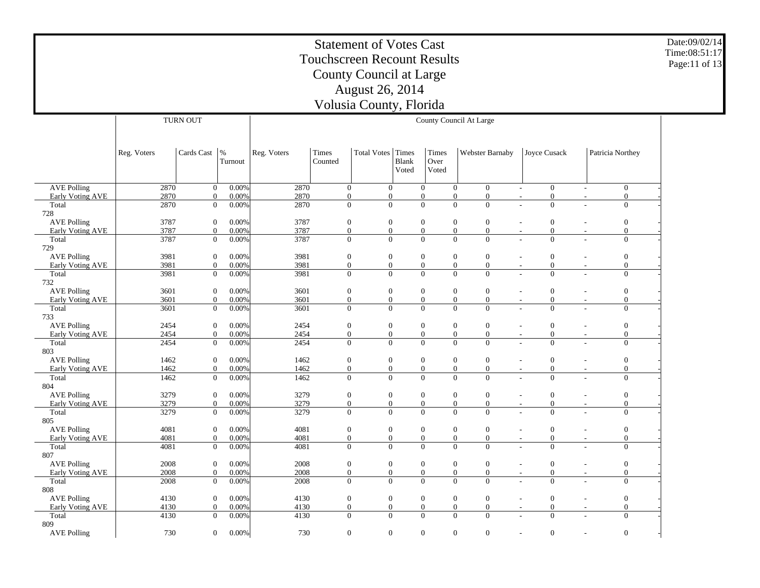Date:09/02/14 Time:08:51:17Page:11 of 13

|                    |             | <b>TURN OUT</b>  |                          |             |                  |                    |                                |                        | County Council At Large              |                                              |                          |                  |
|--------------------|-------------|------------------|--------------------------|-------------|------------------|--------------------|--------------------------------|------------------------|--------------------------------------|----------------------------------------------|--------------------------|------------------|
|                    |             |                  |                          |             |                  |                    |                                |                        |                                      |                                              |                          |                  |
|                    | Reg. Voters | Cards Cast       | $\frac{0}{6}$<br>Turnout | Reg. Voters | Times<br>Counted | <b>Total Votes</b> | Times<br><b>Blank</b><br>Voted | Times<br>Over<br>Voted | Webster Barnaby                      | Joyce Cusack                                 |                          | Patricia Northey |
| <b>AVE Polling</b> | 2870        | $\mathbf{0}$     | 0.00%                    | 2870        | $\overline{0}$   | $\mathbf{0}$       |                                | $\overline{0}$         | $\mathbf{0}$<br>$\overline{0}$       | $\boldsymbol{0}$<br>$\overline{\phantom{a}}$ | $\overline{\phantom{a}}$ | $\overline{0}$   |
| Early Voting AVE   | 2870        | $\theta$         | 0.00%                    | 2870        | $\mathbf{0}$     | $\mathbf{0}$       |                                | $\mathbf{0}$           | $\boldsymbol{0}$<br>$\boldsymbol{0}$ | $\boldsymbol{0}$<br>$\overline{\phantom{a}}$ | $\overline{\phantom{a}}$ | $\mathbf{0}$     |
| Total<br>728       | 2870        | $\overline{0}$   | 0.00%                    | 2870        | $\overline{0}$   | $\overline{0}$     |                                | $\overline{0}$         | $\overline{0}$<br>$\theta$           | $\overline{0}$                               |                          | $\mathbf{0}$     |
| <b>AVE Polling</b> | 3787        | $\overline{0}$   | 0.00%                    | 3787        | $\boldsymbol{0}$ | $\boldsymbol{0}$   |                                | $\mathbf{0}$           | $\boldsymbol{0}$<br>$\mathbf{0}$     | $\boldsymbol{0}$                             | $\overline{\phantom{a}}$ | $\mathbf{0}$     |
| Early Voting AVE   | 3787        | $\overline{0}$   | 0.00%                    | 3787        | $\boldsymbol{0}$ | $\overline{0}$     |                                | $\mathbf{0}$           | $\overline{0}$<br>$\overline{0}$     | $\overline{0}$<br>$\sim$                     | ٠                        | $\mathbf{0}$     |
| Total<br>729       | 3787        | $\overline{0}$   | 0.00%                    | 3787        | $\overline{0}$   | $\overline{0}$     |                                | $\boldsymbol{0}$       | $\overline{0}$<br>$\overline{0}$     | $\overline{0}$                               | ÷                        | $\mathbf{0}$     |
| <b>AVE Polling</b> | 3981        | $\mathbf{0}$     | 0.00%                    | 3981        | $\boldsymbol{0}$ | $\boldsymbol{0}$   |                                | $\boldsymbol{0}$       | $\boldsymbol{0}$<br>$\boldsymbol{0}$ | $\boldsymbol{0}$                             | $\overline{a}$           | $\boldsymbol{0}$ |
| Early Voting AVE   | 3981        | $\boldsymbol{0}$ | 0.00%                    | 3981        | $\boldsymbol{0}$ | $\boldsymbol{0}$   |                                | $\boldsymbol{0}$       | $\boldsymbol{0}$<br>$\boldsymbol{0}$ | $\boldsymbol{0}$<br>$\sim$                   | $\overline{a}$           | $\boldsymbol{0}$ |
| Total<br>732       | 3981        | $\boldsymbol{0}$ | 0.00%                    | 3981        | $\overline{0}$   | $\overline{0}$     |                                | $\boldsymbol{0}$       | $\overline{0}$<br>$\overline{0}$     | $\boldsymbol{0}$                             | L.                       | $\overline{0}$   |
| <b>AVE Polling</b> | 3601        | $\boldsymbol{0}$ | 0.00%                    | 3601        | $\boldsymbol{0}$ | $\boldsymbol{0}$   |                                | $\boldsymbol{0}$       | $\boldsymbol{0}$<br>$\boldsymbol{0}$ | $\boldsymbol{0}$                             | $\overline{a}$           | $\boldsymbol{0}$ |
| Early Voting AVE   | 3601        | $\boldsymbol{0}$ | 0.00%                    | 3601        | $\boldsymbol{0}$ | $\boldsymbol{0}$   |                                | $\boldsymbol{0}$       | $\boldsymbol{0}$<br>$\boldsymbol{0}$ | $\boldsymbol{0}$                             | $\overline{\phantom{a}}$ | $\boldsymbol{0}$ |
| Total<br>733       | 3601        | $\mathbf{0}$     | 0.00%                    | 3601        | $\Omega$         | $\overline{0}$     |                                | $\mathbf{0}$           | $\mathbf{0}$<br>$\Omega$             | $\theta$                                     |                          | $\Omega$         |
| <b>AVE Polling</b> | 2454        | $\boldsymbol{0}$ | 0.00%                    | 2454        | $\boldsymbol{0}$ | $\boldsymbol{0}$   |                                | $\boldsymbol{0}$       | $\boldsymbol{0}$<br>$\boldsymbol{0}$ | $\boldsymbol{0}$                             | $\overline{a}$           | $\boldsymbol{0}$ |
| Early Voting AVE   | 2454        | $\boldsymbol{0}$ | 0.00%                    | 2454        | $\boldsymbol{0}$ | $\boldsymbol{0}$   |                                | $\boldsymbol{0}$       | $\boldsymbol{0}$<br>$\boldsymbol{0}$ | $\boldsymbol{0}$                             | $\overline{a}$           | $\boldsymbol{0}$ |
| Total<br>803       | 2454        | $\mathbf{0}$     | 0.00%                    | 2454        | $\overline{0}$   | $\overline{0}$     |                                | $\overline{0}$         | $\overline{0}$<br>$\theta$           | $\overline{0}$                               | ÷                        | $\overline{0}$   |
| <b>AVE Polling</b> | 1462        | $\mathbf{0}$     | 0.00%                    | 1462        | $\boldsymbol{0}$ | $\boldsymbol{0}$   |                                | $\boldsymbol{0}$       | $\mathbf{0}$<br>$\boldsymbol{0}$     | $\boldsymbol{0}$                             | $\overline{\phantom{a}}$ | $\boldsymbol{0}$ |
| Early Voting AVE   | 1462        | $\boldsymbol{0}$ | 0.00%                    | 1462        | $\boldsymbol{0}$ | $\mathbf{0}$       |                                | $\boldsymbol{0}$       | $\overline{0}$<br>$\boldsymbol{0}$   | $\overline{0}$                               | $\overline{a}$           | $\boldsymbol{0}$ |
| Total<br>804       | 1462        | $\mathbf{0}$     | 0.00%                    | 1462        | $\overline{0}$   | $\overline{0}$     |                                | $\overline{0}$         | $\overline{0}$<br>$\overline{0}$     | $\overline{0}$                               | L.                       | $\mathbf{0}$     |
| <b>AVE Polling</b> | 3279        | $\mathbf{0}$     | 0.00%                    | 3279        | $\boldsymbol{0}$ | $\boldsymbol{0}$   |                                | $\boldsymbol{0}$       | $\mathbf{0}$<br>$\mathbf{0}$         | $\boldsymbol{0}$                             |                          | $\boldsymbol{0}$ |
| Early Voting AVE   | 3279        | $\boldsymbol{0}$ | 0.00%                    | 3279        | $\boldsymbol{0}$ | $\boldsymbol{0}$   |                                | $\boldsymbol{0}$       | $\boldsymbol{0}$<br>$\boldsymbol{0}$ | $\boldsymbol{0}$<br>$\sim$                   | $\overline{\phantom{a}}$ | $\boldsymbol{0}$ |
| Total<br>805       | 3279        | $\mathbf{0}$     | 0.00%                    | 3279        | $\overline{0}$   | $\overline{0}$     |                                | $\overline{0}$         | $\overline{0}$<br>$\Omega$           | $\overline{0}$                               |                          | $\overline{0}$   |
| <b>AVE Polling</b> | 4081        | $\mathbf{0}$     | 0.00%                    | 4081        | $\boldsymbol{0}$ | $\boldsymbol{0}$   |                                | $\boldsymbol{0}$       | $\boldsymbol{0}$<br>$\mathbf{0}$     | $\overline{0}$                               |                          | $\boldsymbol{0}$ |
| Early Voting AVE   | 4081        | $\overline{0}$   | 0.00%                    | 4081        | $\boldsymbol{0}$ | $\boldsymbol{0}$   |                                | $\boldsymbol{0}$       | $\boldsymbol{0}$<br>$\boldsymbol{0}$ | $\boldsymbol{0}$<br>$\sim$                   | $\overline{\phantom{m}}$ | $\boldsymbol{0}$ |
| Total<br>807       | 4081        | $\boldsymbol{0}$ | 0.00%                    | 4081        | $\overline{0}$   | $\overline{0}$     |                                | $\overline{0}$         | $\overline{0}$<br>$\mathbf{0}$       | $\overline{0}$                               |                          | $\overline{0}$   |
| <b>AVE Polling</b> | 2008        | $\mathbf{0}$     | 0.00%                    | 2008        | $\boldsymbol{0}$ | $\boldsymbol{0}$   |                                | $\boldsymbol{0}$       | $\boldsymbol{0}$<br>$\boldsymbol{0}$ | $\boldsymbol{0}$<br>$\sim$                   | $\overline{a}$           | $\boldsymbol{0}$ |
| Early Voting AVE   | 2008        | $\mathbf{0}$     | 0.00%                    | 2008        | $\boldsymbol{0}$ | $\boldsymbol{0}$   |                                | $\boldsymbol{0}$       | $\boldsymbol{0}$<br>$\boldsymbol{0}$ | $\boldsymbol{0}$<br>$\overline{\phantom{a}}$ | $\overline{\phantom{a}}$ | $\boldsymbol{0}$ |
| Total              | 2008        | $\theta$         | 0.00%                    | 2008        | $\overline{0}$   | $\mathbf{0}$       |                                | $\overline{0}$         | $\overline{0}$<br>$\Omega$           | $\overline{0}$                               | ÷                        | $\overline{0}$   |
| 808                |             |                  |                          |             |                  |                    |                                |                        |                                      |                                              |                          |                  |
| <b>AVE Polling</b> | 4130        | $\mathbf{0}$     | 0.00%                    | 4130        | $\boldsymbol{0}$ | $\boldsymbol{0}$   |                                | $\boldsymbol{0}$       | $\boldsymbol{0}$<br>$\boldsymbol{0}$ | $\boldsymbol{0}$<br>$\sim$                   | $\overline{a}$           | $\boldsymbol{0}$ |
| Early Voting AVE   | 4130        | $\overline{0}$   | 0.00%                    | 4130        | $\mathbf{0}$     | $\mathbf{0}$       |                                | $\boldsymbol{0}$       | $\mathbf{0}$<br>$\boldsymbol{0}$     | $\boldsymbol{0}$<br>$\overline{\phantom{a}}$ | $\overline{\phantom{a}}$ | $\mathbf{0}$     |
| Total<br>809       | 4130        | $\boldsymbol{0}$ | 0.00%                    | 4130        | $\overline{0}$   | $\overline{0}$     |                                | $\overline{0}$         | $\overline{0}$<br>$\overline{0}$     | $\overline{0}$                               | L.                       | $\mathbf{0}$     |
| <b>AVE Polling</b> | 730         | $\mathbf{0}$     | 0.00%                    | 730         | $\overline{0}$   | $\mathbf{0}$       |                                | $\boldsymbol{0}$       | $\mathbf{0}$<br>$\mathbf{0}$         | $\boldsymbol{0}$                             | $\overline{a}$           | $\boldsymbol{0}$ |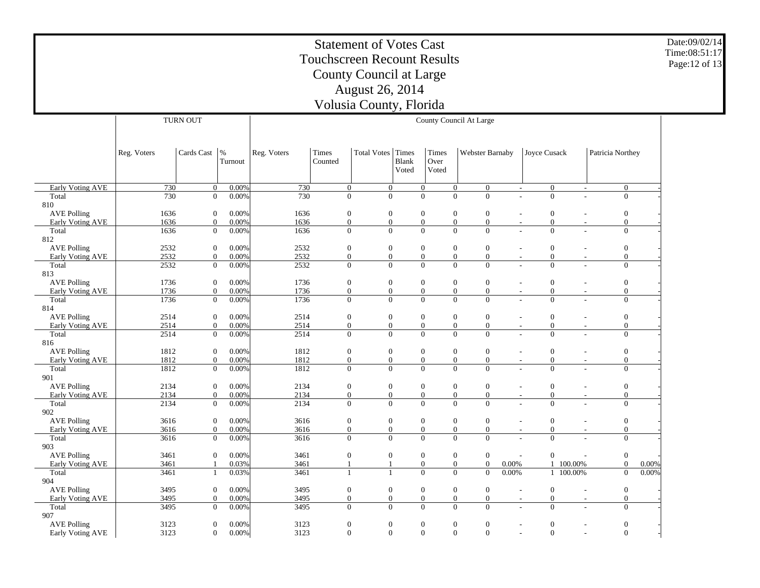Date:09/02/14 Time:08:51:17Page:12 of 13

|                                        |              | <b>TURN OUT</b>                  |                |              |                                      |                                      |       |                                      | County Council At Large                                                |                                    |                                              |                                |                                      |       |
|----------------------------------------|--------------|----------------------------------|----------------|--------------|--------------------------------------|--------------------------------------|-------|--------------------------------------|------------------------------------------------------------------------|------------------------------------|----------------------------------------------|--------------------------------|--------------------------------------|-------|
|                                        |              |                                  |                |              |                                      |                                      |       |                                      |                                                                        |                                    |                                              |                                |                                      |       |
|                                        |              |                                  |                |              |                                      |                                      |       |                                      |                                                                        |                                    |                                              |                                |                                      |       |
|                                        | Reg. Voters  | Cards Cast                       | $\frac{9}{6}$  | Reg. Voters  | Times                                | <b>Total Votes</b>                   | Times | Times                                | Webster Barnaby                                                        |                                    | Joyce Cusack                                 |                                | Patricia Northey                     |       |
|                                        |              |                                  | Turnout        |              | Counted                              |                                      | Blank | Over                                 |                                                                        |                                    |                                              |                                |                                      |       |
|                                        |              |                                  |                |              |                                      |                                      | Voted | Voted                                |                                                                        |                                    |                                              |                                |                                      |       |
|                                        |              |                                  |                |              |                                      |                                      |       |                                      |                                                                        |                                    |                                              |                                |                                      |       |
| <b>Early Voting AVE</b><br>Total       | 730<br>730   | $\mathbf{0}$<br>$\overline{0}$   | 0.00%<br>0.00% | 730<br>730   | $\mathbf{0}$<br>$\overline{0}$       | $\mathbf{0}$<br>$\overline{0}$       |       | $\overline{0}$<br>$\overline{0}$     | $\boldsymbol{0}$<br>$\boldsymbol{0}$<br>$\overline{0}$<br>$\theta$     |                                    | $\boldsymbol{0}$<br>$\sim$<br>$\overline{0}$ | $\overline{\phantom{a}}$<br>÷. | $\mathbf{0}$<br>$\overline{0}$       |       |
| 810                                    |              |                                  |                |              |                                      |                                      |       |                                      |                                                                        |                                    |                                              |                                |                                      |       |
| <b>AVE Polling</b>                     | 1636         | $\mathbf{0}$                     | 0.00%          | 1636         | $\boldsymbol{0}$                     | $\boldsymbol{0}$                     |       | $\boldsymbol{0}$                     | $\boldsymbol{0}$<br>$\mathbf{0}$                                       |                                    | $\boldsymbol{0}$                             | $\overline{a}$                 | $\boldsymbol{0}$                     |       |
| Early Voting AVE                       | 1636         | $\boldsymbol{0}$                 | 0.00%          | 1636         | $\boldsymbol{0}$                     | $\boldsymbol{0}$                     |       | $\boldsymbol{0}$                     | $\boldsymbol{0}$<br>$\boldsymbol{0}$                                   |                                    | $\boldsymbol{0}$                             | $\overline{a}$                 | $\boldsymbol{0}$                     |       |
| Total                                  | 1636         | $\mathbf{0}$                     | 0.00%          | 1636         | $\mathbf{0}$                         | $\overline{0}$                       |       | $\mathbf{0}$                         | $\overline{0}$<br>$\overline{0}$                                       |                                    | $\overline{0}$                               | L.                             | $\overline{0}$                       |       |
| 812                                    |              |                                  |                |              |                                      |                                      |       |                                      |                                                                        |                                    |                                              |                                |                                      |       |
| <b>AVE Polling</b>                     | 2532         | $\mathbf{0}$                     | 0.00%          | 2532         | $\boldsymbol{0}$                     | $\boldsymbol{0}$                     |       | $\mathbf{0}$                         | $\mathbf{0}$<br>$\mathbf{0}$                                           |                                    | $\boldsymbol{0}$                             | $\overline{\phantom{a}}$       | $\mathbf{0}$                         |       |
| <b>Early Voting AVE</b>                | 2532         | $\boldsymbol{0}$                 | 0.00%          | 2532         | $\boldsymbol{0}$                     | $\boldsymbol{0}$                     |       | $\boldsymbol{0}$                     | $\boldsymbol{0}$<br>$\boldsymbol{0}$                                   |                                    | $\boldsymbol{0}$                             | $\overline{a}$                 | $\boldsymbol{0}$                     |       |
| Total                                  | 2532         | $\mathbf{0}$                     | 0.00%          | 2532         | $\mathbf{0}$                         | $\overline{0}$                       |       | $\overline{0}$                       | $\overline{0}$<br>$\overline{0}$                                       |                                    | $\overline{0}$                               | L.                             | $\mathbf{0}$                         |       |
| 813                                    |              |                                  |                |              |                                      |                                      |       |                                      |                                                                        |                                    |                                              |                                |                                      |       |
| <b>AVE Polling</b>                     | 1736<br>1736 | $\mathbf{0}$<br>$\boldsymbol{0}$ | 0.00%<br>0.00% | 1736<br>1736 | $\boldsymbol{0}$<br>$\boldsymbol{0}$ | $\boldsymbol{0}$<br>$\boldsymbol{0}$ |       | $\boldsymbol{0}$<br>$\boldsymbol{0}$ | $\mathbf{0}$<br>$\boldsymbol{0}$<br>$\overline{0}$<br>$\boldsymbol{0}$ |                                    | $\boldsymbol{0}$<br>$\boldsymbol{0}$         | $\overline{\phantom{a}}$       | $\boldsymbol{0}$<br>$\boldsymbol{0}$ |       |
| Early Voting AVE<br>Total              | 1736         | $\mathbf{0}$                     | 0.00%          | 1736         | $\overline{0}$                       | $\overline{0}$                       |       | $\overline{0}$                       | $\overline{0}$<br>$\overline{0}$                                       |                                    | $\overline{0}$                               | $\overline{a}$<br>L.           | $\mathbf{0}$                         |       |
| 814                                    |              |                                  |                |              |                                      |                                      |       |                                      |                                                                        |                                    |                                              |                                |                                      |       |
| <b>AVE Polling</b>                     | 2514         | $\boldsymbol{0}$                 | 0.00%          | 2514         | $\boldsymbol{0}$                     | $\boldsymbol{0}$                     |       | $\boldsymbol{0}$                     | $\boldsymbol{0}$<br>$\boldsymbol{0}$                                   |                                    | $\boldsymbol{0}$                             |                                | $\boldsymbol{0}$                     |       |
| Early Voting AVE                       | 2514         | $\mathbf{0}$                     | 0.00%          | 2514         | $\boldsymbol{0}$                     | $\boldsymbol{0}$                     |       | $\boldsymbol{0}$                     | $\boldsymbol{0}$<br>$\boldsymbol{0}$                                   |                                    | $\overline{0}$<br>$\sim$                     | $\overline{\phantom{a}}$       | $\boldsymbol{0}$                     |       |
| Total                                  | 2514         | $\mathbf{0}$                     | 0.00%          | 2514         | $\mathbf{0}$                         | $\overline{0}$                       |       | $\overline{0}$                       | $\overline{0}$<br>$\Omega$                                             |                                    | $\theta$                                     |                                | $\mathbf{0}$                         |       |
| 816                                    |              |                                  |                |              |                                      |                                      |       |                                      |                                                                        |                                    |                                              |                                |                                      |       |
| <b>AVE Polling</b>                     | 1812         | $\mathbf{0}$                     | 0.00%          | 1812         | $\boldsymbol{0}$                     | $\boldsymbol{0}$                     |       | $\boldsymbol{0}$                     | $\boldsymbol{0}$<br>$\overline{0}$                                     | $\sim$                             | $\boldsymbol{0}$                             | $\overline{a}$                 | $\boldsymbol{0}$                     |       |
| Early Voting AVE                       | 1812         | $\mathbf{0}$                     | 0.00%          | 1812         | $\boldsymbol{0}$                     | $\boldsymbol{0}$                     |       | $\boldsymbol{0}$                     | $\boldsymbol{0}$<br>$\boldsymbol{0}$                                   | $\overline{\phantom{a}}$           | $\boldsymbol{0}$                             | $\overline{\phantom{a}}$       | $\boldsymbol{0}$                     |       |
| Total                                  | 1812         | $\mathbf{0}$                     | 0.00%          | 1812         | $\overline{0}$                       | $\overline{0}$                       |       | $\overline{0}$                       | $\overline{0}$<br>$\overline{0}$                                       |                                    | $\overline{0}$                               | ÷.                             | $\mathbf{0}$                         |       |
| 901                                    |              |                                  |                |              |                                      |                                      |       |                                      |                                                                        |                                    |                                              |                                |                                      |       |
| <b>AVE Polling</b><br>Early Voting AVE | 2134<br>2134 | $\mathbf{0}$<br>$\overline{0}$   | 0.00%<br>0.00% | 2134<br>2134 | $\boldsymbol{0}$<br>$\boldsymbol{0}$ | $\mathbf{0}$<br>$\boldsymbol{0}$     |       | $\mathbf{0}$<br>$\boldsymbol{0}$     | $\mathbf{0}$<br>$\mathbf{0}$<br>$\boldsymbol{0}$                       |                                    | $\boldsymbol{0}$<br>$\boldsymbol{0}$         |                                | $\boldsymbol{0}$<br>$\boldsymbol{0}$ |       |
| Total                                  | 2134         | $\theta$                         | 0.00%          | 2134         | $\overline{0}$                       | $\mathbf{0}$                         |       | $\overline{0}$                       | $\boldsymbol{0}$<br>$\mathbf{0}$<br>$\Omega$                           | $\overline{\phantom{a}}$           | $\Omega$                                     | $\overline{\phantom{a}}$<br>÷  | $\overline{0}$                       |       |
| 902                                    |              |                                  |                |              |                                      |                                      |       |                                      |                                                                        |                                    |                                              |                                |                                      |       |
| <b>AVE Polling</b>                     | 3616         | $\overline{0}$                   | 0.00%          | 3616         | $\boldsymbol{0}$                     | $\boldsymbol{0}$                     |       | $\mathbf{0}$                         | $\mathbf{0}$<br>$\mathbf{0}$                                           |                                    | $\boldsymbol{0}$                             | $\overline{\phantom{a}}$       | $\mathbf{0}$                         |       |
| Early Voting AVE                       | 3616         | $\overline{0}$                   | 0.00%          | 3616         | $\boldsymbol{0}$                     | $\boldsymbol{0}$                     |       | $\boldsymbol{0}$                     | $\overline{0}$<br>$\boldsymbol{0}$                                     |                                    | $\overline{0}$<br>$\overline{\phantom{a}}$   | $\overline{\phantom{a}}$       | $\mathbf{0}$                         |       |
| Total                                  | 3616         | $\mathbf{0}$                     | 0.00%          | 3616         | $\overline{0}$                       | $\mathbf{0}$                         |       | $\overline{0}$                       | $\overline{0}$<br>$\mathbf{0}$                                         |                                    | $\overline{0}$                               | $\overline{a}$                 | $\mathbf{0}$                         |       |
| 903                                    |              |                                  |                |              |                                      |                                      |       |                                      |                                                                        |                                    |                                              |                                |                                      |       |
| <b>AVE Polling</b>                     | 3461         | $\mathbf{0}$                     | 0.00%          | 3461         | $\boldsymbol{0}$                     | $\boldsymbol{0}$                     |       | $\boldsymbol{0}$                     | $\boldsymbol{0}$<br>$\boldsymbol{0}$                                   | $\overline{\phantom{a}}$           | $\boldsymbol{0}$                             |                                | $\boldsymbol{0}$                     |       |
| Early Voting AVE                       | 3461         | $\overline{1}$                   | 0.03%          | 3461         | $\mathbf{1}$                         | $\mathbf{1}$                         |       | $\mathbf{0}$                         | $\boldsymbol{0}$<br>$\boldsymbol{0}$                                   | 0.00%                              |                                              | 1 100.00%                      | $\mathbf{0}$                         | 0.00% |
| Total                                  | 3461         | $\mathbf{1}$                     | 0.03%          | 3461         | $\mathbf{1}$                         | $\mathbf{1}$                         |       | $\overline{0}$                       | $\overline{0}$<br>$\overline{0}$                                       | 0.00%                              |                                              | 1 100.00%                      | $\mathbf{0}$                         | 0.00% |
| 904<br><b>AVE Polling</b>              | 3495         | $\boldsymbol{0}$                 | 0.00%          | 3495         | $\boldsymbol{0}$                     | $\boldsymbol{0}$                     |       | $\boldsymbol{0}$                     | $\boldsymbol{0}$<br>$\boldsymbol{0}$                                   |                                    | $\boldsymbol{0}$                             |                                | $\boldsymbol{0}$                     |       |
| Early Voting AVE                       | 3495         | $\overline{0}$                   | 0.00%          | 3495         | $\mathbf{0}$                         | $\mathbf{0}$                         |       | $\overline{0}$                       | $\mathbf{0}$<br>$\overline{0}$                                         | $\overline{\phantom{a}}$<br>$\sim$ | $\boldsymbol{0}$                             | $\overline{a}$<br>$\sim$       | $\mathbf{0}$                         |       |
| Total                                  | 3495         | $\overline{0}$                   | 0.00%          | 3495         | $\overline{0}$                       | $\overline{0}$                       |       | $\overline{0}$                       | $\overline{0}$<br>$\Omega$                                             |                                    | $\overline{0}$                               | L.                             | $\overline{0}$                       |       |
| 907                                    |              |                                  |                |              |                                      |                                      |       |                                      |                                                                        |                                    |                                              |                                |                                      |       |
| <b>AVE Polling</b>                     | 3123         | $\overline{0}$                   | 0.00%          | 3123         | $\overline{0}$                       | $\boldsymbol{0}$                     |       | $\boldsymbol{0}$                     | $\boldsymbol{0}$<br>$\mathbf{0}$                                       |                                    | $\boldsymbol{0}$                             | $\overline{a}$                 | $\boldsymbol{0}$                     |       |
| Early Voting AVE                       | 3123         | $\mathbf{0}$                     | 0.00%          | 3123         | $\mathbf{0}$                         | $\mathbf{0}$                         |       | $\mathbf{0}$                         | $\overline{0}$<br>$\mathbf{0}$                                         |                                    | $\overline{0}$                               | $\overline{a}$                 | $\mathbf{0}$                         |       |

 $\overline{\phantom{0}}$